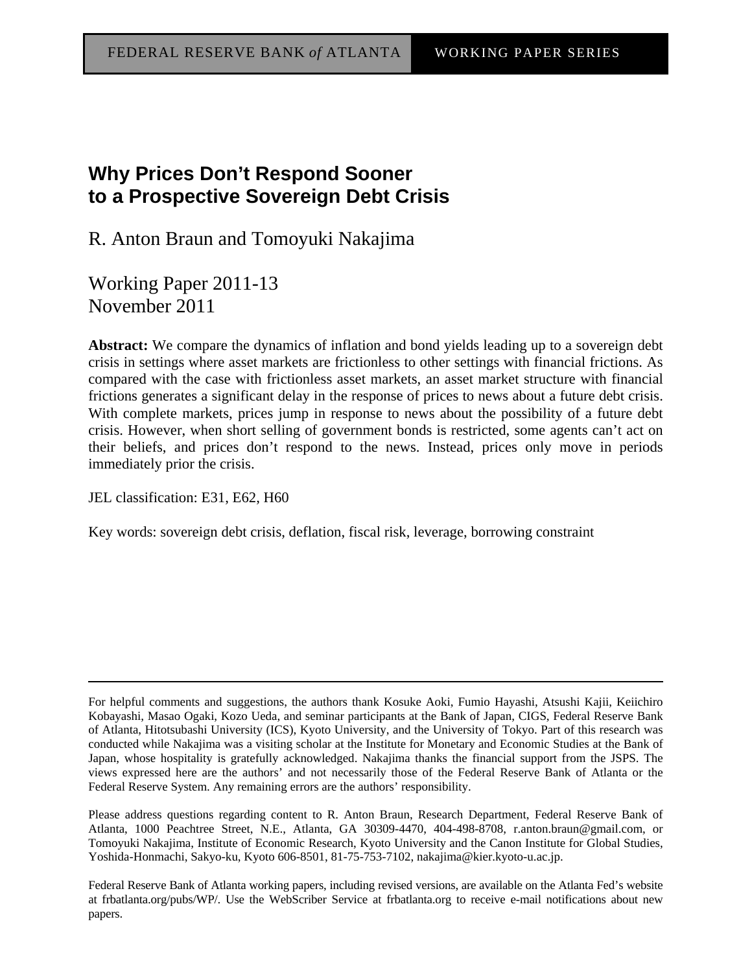# **Why Prices Don't Respond Sooner to a Prospective Sovereign Debt Crisis**

R. Anton Braun and Tomoyuki Nakajima

Working Paper 2011-13 November 2011

**Abstract:** We compare the dynamics of inflation and bond yields leading up to a sovereign debt crisis in settings where asset markets are frictionless to other settings with financial frictions. As compared with the case with frictionless asset markets, an asset market structure with financial frictions generates a significant delay in the response of prices to news about a future debt crisis. With complete markets, prices jump in response to news about the possibility of a future debt crisis. However, when short selling of government bonds is restricted, some agents can't act on their beliefs, and prices don't respond to the news. Instead, prices only move in periods immediately prior the crisis.

JEL classification: E31, E62, H60

Key words: sovereign debt crisis, deflation, fiscal risk, leverage, borrowing constraint

Federal Reserve Bank of Atlanta working papers, including revised versions, are available on the Atlanta Fed's website at frbatlanta.org/pubs/WP/. Use the WebScriber Service at frbatlanta.org to receive e-mail notifications about new papers.

For helpful comments and suggestions, the authors thank Kosuke Aoki, Fumio Hayashi, Atsushi Kajii, Keiichiro Kobayashi, Masao Ogaki, Kozo Ueda, and seminar participants at the Bank of Japan, CIGS, Federal Reserve Bank of Atlanta, Hitotsubashi University (ICS), Kyoto University, and the University of Tokyo. Part of this research was conducted while Nakajima was a visiting scholar at the Institute for Monetary and Economic Studies at the Bank of Japan, whose hospitality is gratefully acknowledged. Nakajima thanks the financial support from the JSPS. The views expressed here are the authors' and not necessarily those of the Federal Reserve Bank of Atlanta or the Federal Reserve System. Any remaining errors are the authors' responsibility.

Please address questions regarding content to R. Anton Braun, Research Department, Federal Reserve Bank of Atlanta, 1000 Peachtree Street, N.E., Atlanta, GA 30309-4470, 404-498-8708, r.anton.braun@gmail.com, or Tomoyuki Nakajima, Institute of Economic Research, Kyoto University and the Canon Institute for Global Studies, Yoshida-Honmachi, Sakyo-ku, Kyoto 606-8501, 81-75-753-7102, nakajima@kier.kyoto-u.ac.jp.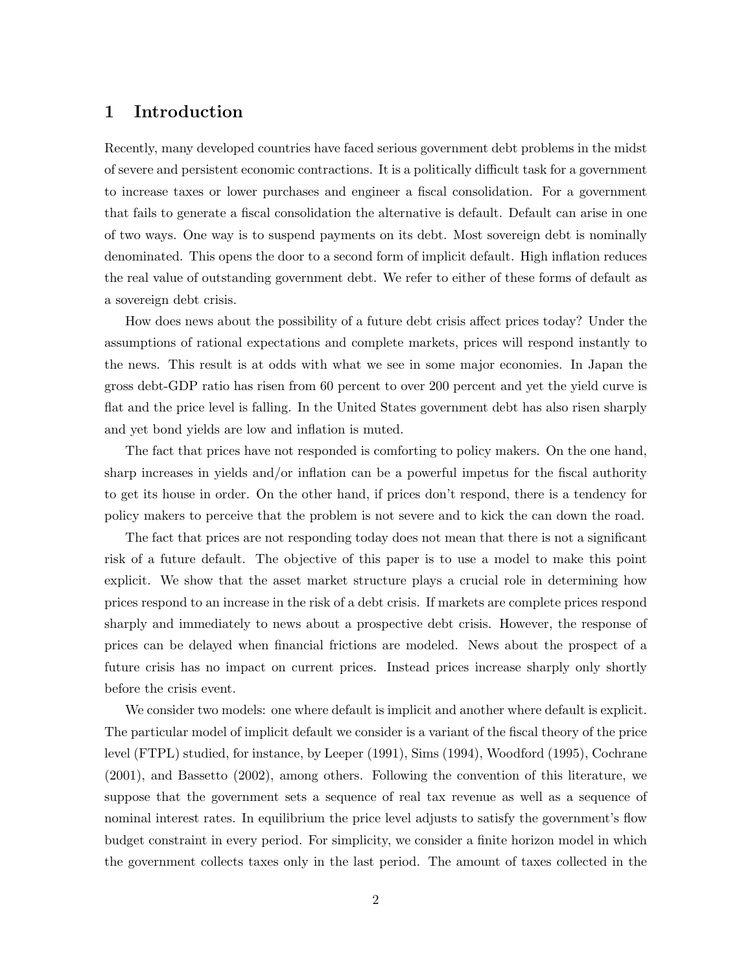### 1 Introduction

Recently, many developed countries have faced serious government debt problems in the midst of severe and persistent economic contractions. It is a politically difficult task for a government to increase taxes or lower purchases and engineer a fiscal consolidation. For a government that fails to generate a fiscal consolidation the alternative is default. Default can arise in one of two ways. One way is to suspend payments on its debt. Most sovereign debt is nominally denominated. This opens the door to a second form of implicit default. High inflation reduces the real value of outstanding government debt. We refer to either of these forms of default as a sovereign debt crisis.

How does news about the possibility of a future debt crisis affect prices today? Under the assumptions of rational expectations and complete markets, prices will respond instantly to the news. This result is at odds with what we see in some major economies. In Japan the gross debt-GDP ratio has risen from 60 percent to over 200 percent and yet the yield curve is flat and the price level is falling. In the United States government debt has also risen sharply and yet bond yields are low and inflation is muted.

The fact that prices have not responded is comforting to policy makers. On the one hand, sharp increases in yields and/or inflation can be a powerful impetus for the fiscal authority to get its house in order. On the other hand, if prices don't respond, there is a tendency for policy makers to perceive that the problem is not severe and to kick the can down the road.

The fact that prices are not responding today does not mean that there is not a significant risk of a future default. The objective of this paper is to use a model to make this point explicit. We show that the asset market structure plays a crucial role in determining how prices respond to an increase in the risk of a debt crisis. If markets are complete prices respond sharply and immediately to news about a prospective debt crisis. However, the response of prices can be delayed when financial frictions are modeled. News about the prospect of a future crisis has no impact on current prices. Instead prices increase sharply only shortly before the crisis event.

We consider two models: one where default is implicit and another where default is explicit. The particular model of implicit default we consider is a variant of the fiscal theory of the price level (FTPL) studied, for instance, by Leeper (1991), Sims (1994), Woodford (1995), Cochrane (2001), and Bassetto (2002), among others. Following the convention of this literature, we suppose that the government sets a sequence of real tax revenue as well as a sequence of nominal interest rates. In equilibrium the price level adjusts to satisfy the government's flow budget constraint in every period. For simplicity, we consider a finite horizon model in which the government collects taxes only in the last period. The amount of taxes collected in the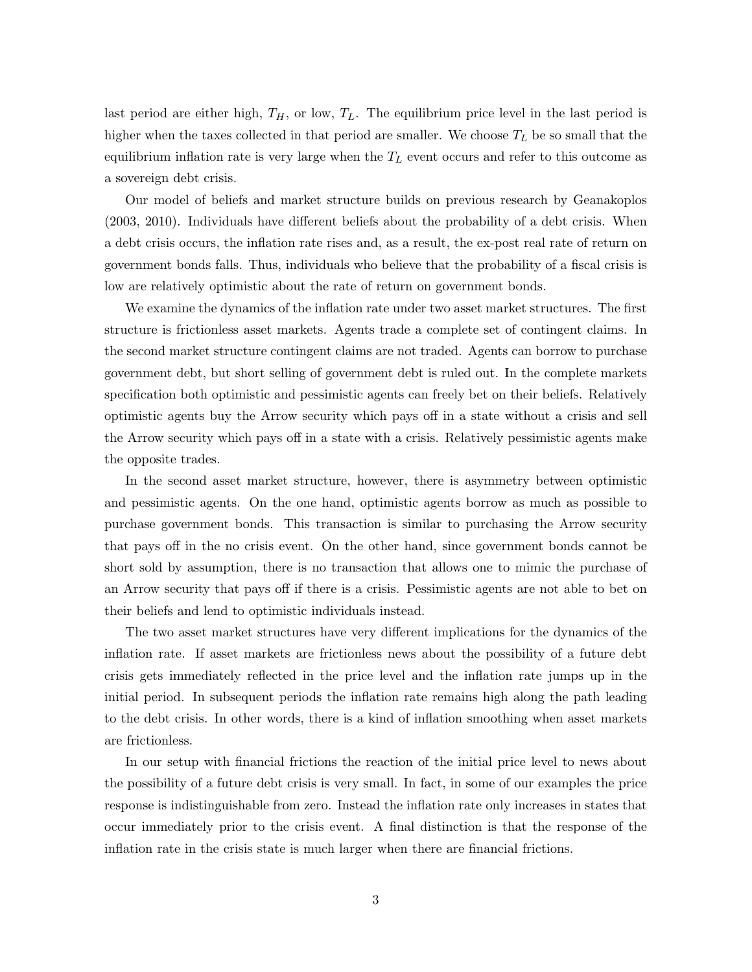last period are either high,  $T_H$ , or low,  $T_L$ . The equilibrium price level in the last period is higher when the taxes collected in that period are smaller. We choose  $T_L$  be so small that the equilibrium inflation rate is very large when the  $T_L$  event occurs and refer to this outcome as a sovereign debt crisis.

Our model of beliefs and market structure builds on previous research by Geanakoplos (2003, 2010). Individuals have different beliefs about the probability of a debt crisis. When a debt crisis occurs, the inflation rate rises and, as a result, the ex-post real rate of return on government bonds falls. Thus, individuals who believe that the probability of a fiscal crisis is low are relatively optimistic about the rate of return on government bonds.

We examine the dynamics of the inflation rate under two asset market structures. The first structure is frictionless asset markets. Agents trade a complete set of contingent claims. In the second market structure contingent claims are not traded. Agents can borrow to purchase government debt, but short selling of government debt is ruled out. In the complete markets specification both optimistic and pessimistic agents can freely bet on their beliefs. Relatively optimistic agents buy the Arrow security which pays off in a state without a crisis and sell the Arrow security which pays off in a state with a crisis. Relatively pessimistic agents make the opposite trades.

In the second asset market structure, however, there is asymmetry between optimistic and pessimistic agents. On the one hand, optimistic agents borrow as much as possible to purchase government bonds. This transaction is similar to purchasing the Arrow security that pays off in the no crisis event. On the other hand, since government bonds cannot be short sold by assumption, there is no transaction that allows one to mimic the purchase of an Arrow security that pays off if there is a crisis. Pessimistic agents are not able to bet on their beliefs and lend to optimistic individuals instead.

The two asset market structures have very different implications for the dynamics of the inflation rate. If asset markets are frictionless news about the possibility of a future debt crisis gets immediately reflected in the price level and the inflation rate jumps up in the initial period. In subsequent periods the inflation rate remains high along the path leading to the debt crisis. In other words, there is a kind of inflation smoothing when asset markets are frictionless.

In our setup with financial frictions the reaction of the initial price level to news about the possibility of a future debt crisis is very small. In fact, in some of our examples the price response is indistinguishable from zero. Instead the inflation rate only increases in states that occur immediately prior to the crisis event. A final distinction is that the response of the inflation rate in the crisis state is much larger when there are financial frictions.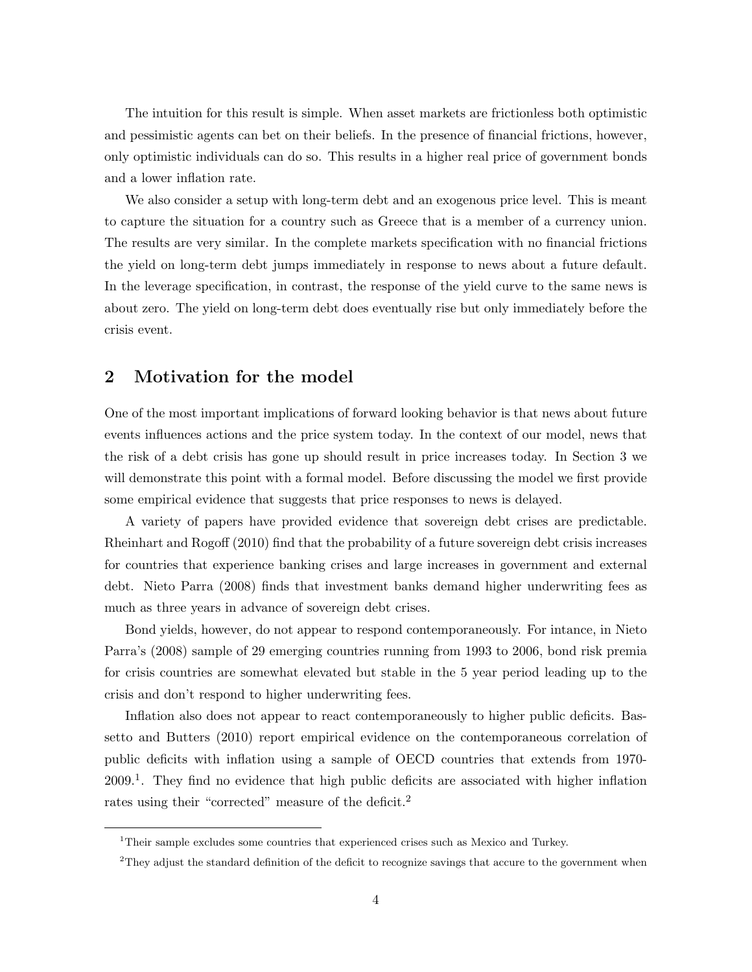The intuition for this result is simple. When asset markets are frictionless both optimistic and pessimistic agents can bet on their beliefs. In the presence of financial frictions, however, only optimistic individuals can do so. This results in a higher real price of government bonds and a lower inflation rate.

We also consider a setup with long-term debt and an exogenous price level. This is meant to capture the situation for a country such as Greece that is a member of a currency union. The results are very similar. In the complete markets specification with no financial frictions the yield on long-term debt jumps immediately in response to news about a future default. In the leverage specification, in contrast, the response of the yield curve to the same news is about zero. The yield on long-term debt does eventually rise but only immediately before the crisis event.

### 2 Motivation for the model

One of the most important implications of forward looking behavior is that news about future events influences actions and the price system today. In the context of our model, news that the risk of a debt crisis has gone up should result in price increases today. In Section 3 we will demonstrate this point with a formal model. Before discussing the model we first provide some empirical evidence that suggests that price responses to news is delayed.

A variety of papers have provided evidence that sovereign debt crises are predictable. Rheinhart and Rogoff (2010) find that the probability of a future sovereign debt crisis increases for countries that experience banking crises and large increases in government and external debt. Nieto Parra (2008) finds that investment banks demand higher underwriting fees as much as three years in advance of sovereign debt crises.

Bond yields, however, do not appear to respond contemporaneously. For intance, in Nieto Parra's (2008) sample of 29 emerging countries running from 1993 to 2006, bond risk premia for crisis countries are somewhat elevated but stable in the 5 year period leading up to the crisis and don't respond to higher underwriting fees.

Inflation also does not appear to react contemporaneously to higher public deficits. Bassetto and Butters (2010) report empirical evidence on the contemporaneous correlation of public deficits with inflation using a sample of OECD countries that extends from 1970- 2009.<sup>1</sup>. They find no evidence that high public deficits are associated with higher inflation rates using their "corrected" measure of the deficit.<sup>2</sup>

<sup>&</sup>lt;sup>1</sup>Their sample excludes some countries that experienced crises such as Mexico and Turkey.

<sup>&</sup>lt;sup>2</sup>They adjust the standard definition of the deficit to recognize savings that accure to the government when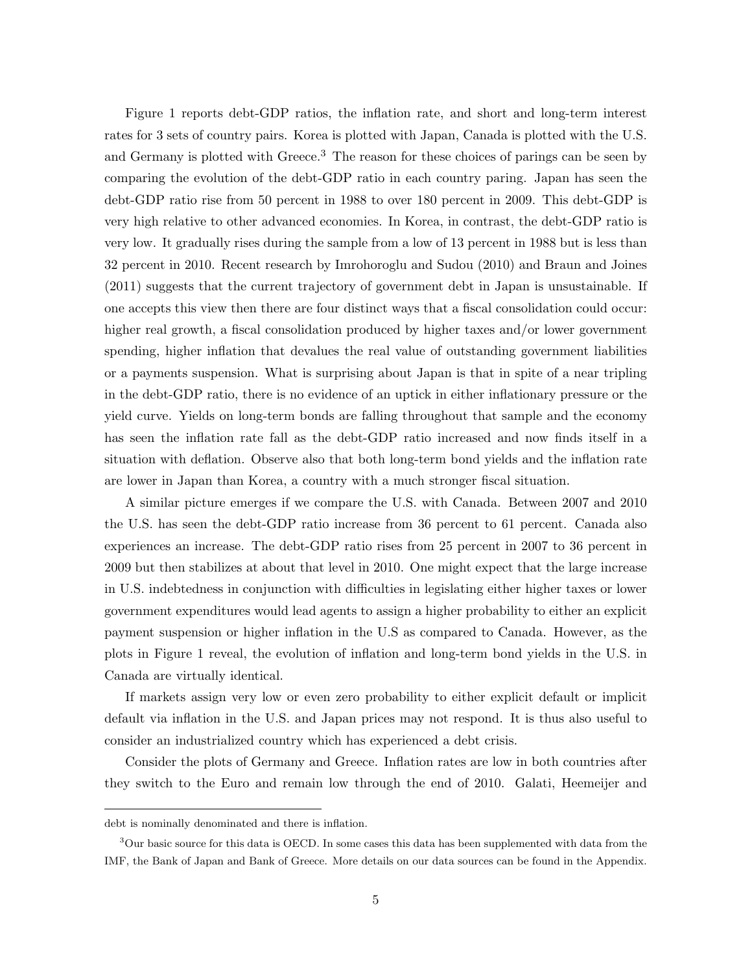Figure 1 reports debt-GDP ratios, the inflation rate, and short and long-term interest rates for 3 sets of country pairs. Korea is plotted with Japan, Canada is plotted with the U.S. and Germany is plotted with Greece.<sup>3</sup> The reason for these choices of parings can be seen by comparing the evolution of the debt-GDP ratio in each country paring. Japan has seen the debt-GDP ratio rise from 50 percent in 1988 to over 180 percent in 2009. This debt-GDP is very high relative to other advanced economies. In Korea, in contrast, the debt-GDP ratio is very low. It gradually rises during the sample from a low of 13 percent in 1988 but is less than 32 percent in 2010. Recent research by Imrohoroglu and Sudou (2010) and Braun and Joines (2011) suggests that the current trajectory of government debt in Japan is unsustainable. If one accepts this view then there are four distinct ways that a fiscal consolidation could occur: higher real growth, a fiscal consolidation produced by higher taxes and/or lower government spending, higher inflation that devalues the real value of outstanding government liabilities or a payments suspension. What is surprising about Japan is that in spite of a near tripling in the debt-GDP ratio, there is no evidence of an uptick in either inflationary pressure or the yield curve. Yields on long-term bonds are falling throughout that sample and the economy has seen the inflation rate fall as the debt-GDP ratio increased and now finds itself in a situation with deflation. Observe also that both long-term bond yields and the inflation rate are lower in Japan than Korea, a country with a much stronger fiscal situation.

A similar picture emerges if we compare the U.S. with Canada. Between 2007 and 2010 the U.S. has seen the debt-GDP ratio increase from 36 percent to 61 percent. Canada also experiences an increase. The debt-GDP ratio rises from 25 percent in 2007 to 36 percent in 2009 but then stabilizes at about that level in 2010. One might expect that the large increase in U.S. indebtedness in conjunction with difficulties in legislating either higher taxes or lower government expenditures would lead agents to assign a higher probability to either an explicit payment suspension or higher inflation in the U.S as compared to Canada. However, as the plots in Figure 1 reveal, the evolution of inflation and long-term bond yields in the U.S. in Canada are virtually identical.

If markets assign very low or even zero probability to either explicit default or implicit default via inflation in the U.S. and Japan prices may not respond. It is thus also useful to consider an industrialized country which has experienced a debt crisis.

Consider the plots of Germany and Greece. Inflation rates are low in both countries after they switch to the Euro and remain low through the end of 2010. Galati, Heemeijer and

debt is nominally denominated and there is inflation.

<sup>&</sup>lt;sup>3</sup>Our basic source for this data is OECD. In some cases this data has been supplemented with data from the IMF, the Bank of Japan and Bank of Greece. More details on our data sources can be found in the Appendix.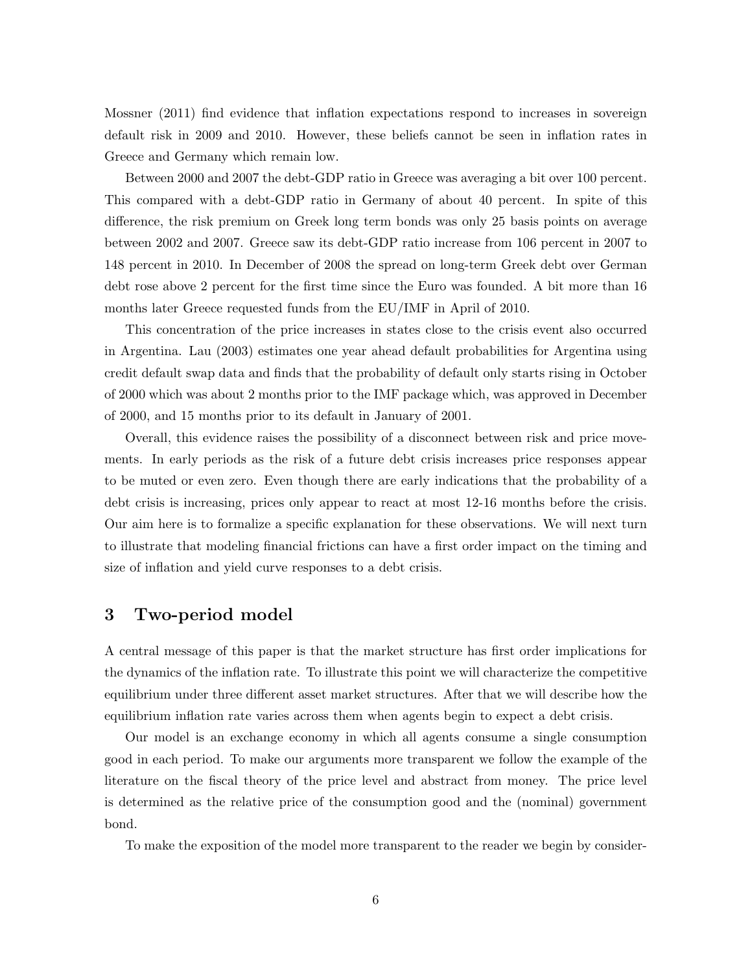Mossner (2011) find evidence that inflation expectations respond to increases in sovereign default risk in 2009 and 2010. However, these beliefs cannot be seen in inflation rates in Greece and Germany which remain low.

Between 2000 and 2007 the debt-GDP ratio in Greece was averaging a bit over 100 percent. This compared with a debt-GDP ratio in Germany of about 40 percent. In spite of this difference, the risk premium on Greek long term bonds was only 25 basis points on average between 2002 and 2007. Greece saw its debt-GDP ratio increase from 106 percent in 2007 to 148 percent in 2010. In December of 2008 the spread on long-term Greek debt over German debt rose above 2 percent for the first time since the Euro was founded. A bit more than 16 months later Greece requested funds from the EU/IMF in April of 2010.

This concentration of the price increases in states close to the crisis event also occurred in Argentina. Lau (2003) estimates one year ahead default probabilities for Argentina using credit default swap data and finds that the probability of default only starts rising in October of 2000 which was about 2 months prior to the IMF package which, was approved in December of 2000, and 15 months prior to its default in January of 2001.

Overall, this evidence raises the possibility of a disconnect between risk and price movements. In early periods as the risk of a future debt crisis increases price responses appear to be muted or even zero. Even though there are early indications that the probability of a debt crisis is increasing, prices only appear to react at most 12-16 months before the crisis. Our aim here is to formalize a specific explanation for these observations. We will next turn to illustrate that modeling financial frictions can have a first order impact on the timing and size of inflation and yield curve responses to a debt crisis.

### 3 Two-period model

A central message of this paper is that the market structure has first order implications for the dynamics of the inflation rate. To illustrate this point we will characterize the competitive equilibrium under three different asset market structures. After that we will describe how the equilibrium inflation rate varies across them when agents begin to expect a debt crisis.

Our model is an exchange economy in which all agents consume a single consumption good in each period. To make our arguments more transparent we follow the example of the literature on the fiscal theory of the price level and abstract from money. The price level is determined as the relative price of the consumption good and the (nominal) government bond.

To make the exposition of the model more transparent to the reader we begin by consider-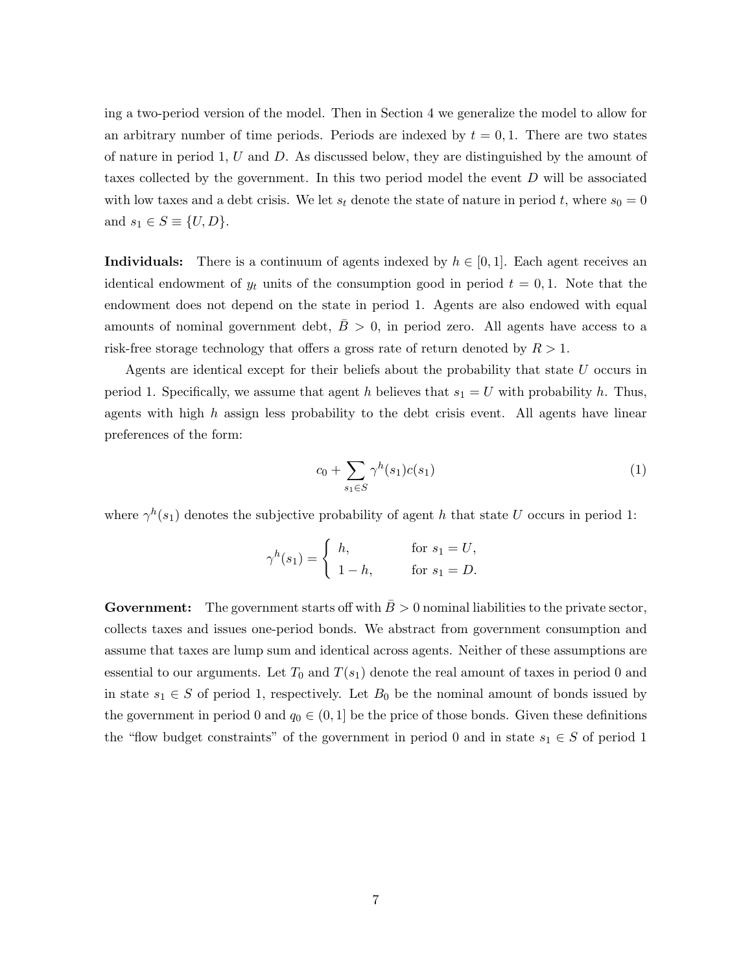ing a two-period version of the model. Then in Section 4 we generalize the model to allow for an arbitrary number of time periods. Periods are indexed by  $t = 0, 1$ . There are two states of nature in period 1, U and D. As discussed below, they are distinguished by the amount of taxes collected by the government. In this two period model the event D will be associated with low taxes and a debt crisis. We let  $s_t$  denote the state of nature in period t, where  $s_0 = 0$ and  $s_1 \in S \equiv \{U, D\}.$ 

**Individuals:** There is a continuum of agents indexed by  $h \in [0, 1]$ . Each agent receives an identical endowment of  $y_t$  units of the consumption good in period  $t = 0, 1$ . Note that the endowment does not depend on the state in period 1. Agents are also endowed with equal amounts of nominal government debt,  $B > 0$ , in period zero. All agents have access to a risk-free storage technology that offers a gross rate of return denoted by  $R > 1$ .

Agents are identical except for their beliefs about the probability that state  $U$  occurs in period 1. Specifically, we assume that agent h believes that  $s_1 = U$  with probability h. Thus, agents with high  $h$  assign less probability to the debt crisis event. All agents have linear preferences of the form:

$$
c_0 + \sum_{s_1 \in S} \gamma^h(s_1)c(s_1) \tag{1}
$$

where  $\gamma^h(s_1)$  denotes the subjective probability of agent h that state U occurs in period 1:

$$
\gamma^h(s_1) = \begin{cases} h, & \text{for } s_1 = U, \\ 1 - h, & \text{for } s_1 = D. \end{cases}
$$

Government: The government starts off with  $\bar{B} > 0$  nominal liabilities to the private sector, collects taxes and issues one-period bonds. We abstract from government consumption and assume that taxes are lump sum and identical across agents. Neither of these assumptions are essential to our arguments. Let  $T_0$  and  $T(s_1)$  denote the real amount of taxes in period 0 and in state  $s_1 \in S$  of period 1, respectively. Let  $B_0$  be the nominal amount of bonds issued by the government in period 0 and  $q_0 \in (0, 1]$  be the price of those bonds. Given these definitions the "flow budget constraints" of the government in period 0 and in state  $s_1 \in S$  of period 1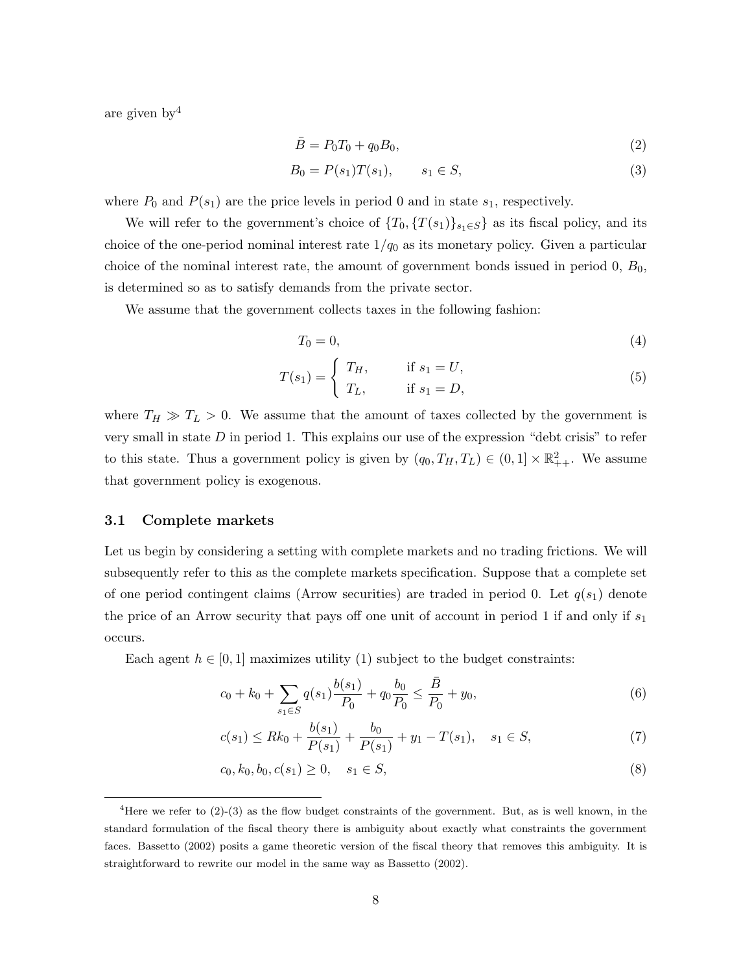are given by  $4$ 

$$
\bar{B} = P_0 T_0 + q_0 B_0,\t\t(2)
$$

$$
B_0 = P(s_1)T(s_1), \qquad s_1 \in S,
$$
\n(3)

where  $P_0$  and  $P(s_1)$  are the price levels in period 0 and in state  $s_1$ , respectively.

We will refer to the government's choice of  $\{T_0, \{T(s_1)\}_{s_1 \in S}\}$  as its fiscal policy, and its choice of the one-period nominal interest rate  $1/q_0$  as its monetary policy. Given a particular choice of the nominal interest rate, the amount of government bonds issued in period  $0, B_0$ , is determined so as to satisfy demands from the private sector.

We assume that the government collects taxes in the following fashion:

$$
T_0 = 0,\t\t(4)
$$

$$
T(s_1) = \begin{cases} T_H, & \text{if } s_1 = U, \\ T_L, & \text{if } s_1 = D, \end{cases} \tag{5}
$$

where  $T_H \gg T_L > 0$ . We assume that the amount of taxes collected by the government is very small in state  $D$  in period 1. This explains our use of the expression "debt crisis" to refer to this state. Thus a government policy is given by  $(q_0, T_H, T_L) \in (0, 1] \times \mathbb{R}^2_{++}$ . We assume that government policy is exogenous.

#### 3.1 Complete markets

Let us begin by considering a setting with complete markets and no trading frictions. We will subsequently refer to this as the complete markets specification. Suppose that a complete set of one period contingent claims (Arrow securities) are traded in period 0. Let  $q(s_1)$  denote the price of an Arrow security that pays off one unit of account in period 1 if and only if  $s_1$ occurs.

Each agent  $h \in [0, 1]$  maximizes utility (1) subject to the budget constraints:

$$
c_0 + k_0 + \sum_{s_1 \in S} q(s_1) \frac{b(s_1)}{P_0} + q_0 \frac{b_0}{P_0} \le \frac{\bar{B}}{P_0} + y_0,
$$
\n<sup>(6)</sup>

$$
c(s_1) \le Rk_0 + \frac{b(s_1)}{P(s_1)} + \frac{b_0}{P(s_1)} + y_1 - T(s_1), \quad s_1 \in S,
$$
\n<sup>(7)</sup>

$$
c_0, k_0, b_0, c(s_1) \ge 0, \quad s_1 \in S,
$$
\n<sup>(8)</sup>

<sup>&</sup>lt;sup>4</sup>Here we refer to  $(2)-(3)$  as the flow budget constraints of the government. But, as is well known, in the standard formulation of the fiscal theory there is ambiguity about exactly what constraints the government faces. Bassetto (2002) posits a game theoretic version of the fiscal theory that removes this ambiguity. It is straightforward to rewrite our model in the same way as Bassetto (2002).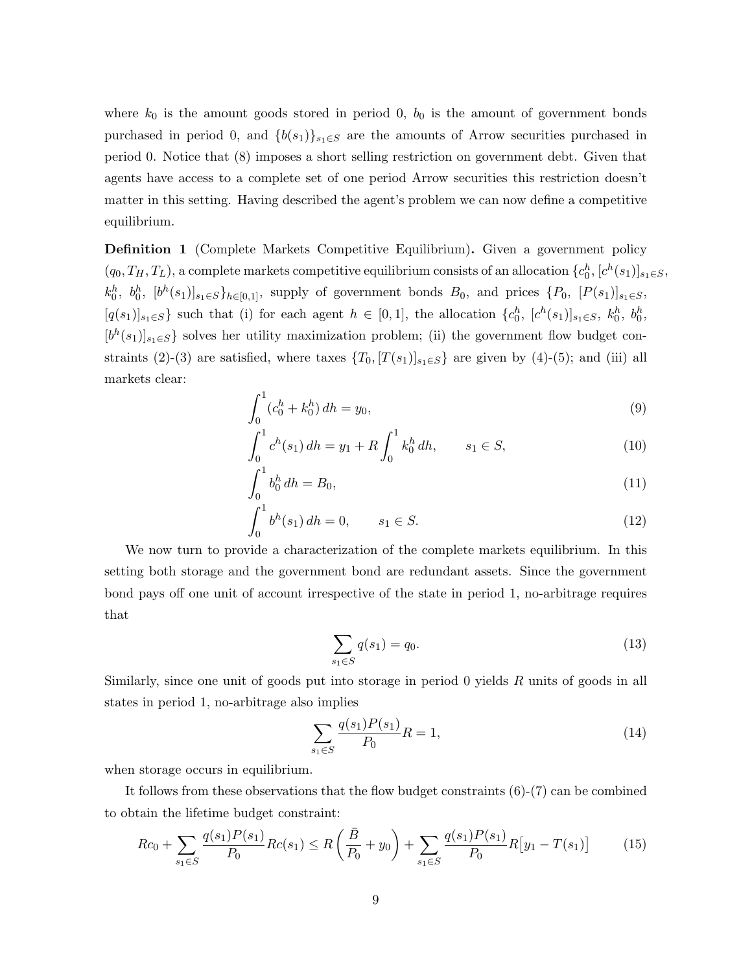where  $k_0$  is the amount goods stored in period 0,  $b_0$  is the amount of government bonds purchased in period 0, and  ${b(s_1)}_{s_1 \in S}$  are the amounts of Arrow securities purchased in period 0. Notice that (8) imposes a short selling restriction on government debt. Given that agents have access to a complete set of one period Arrow securities this restriction doesn't matter in this setting. Having described the agent's problem we can now define a competitive equilibrium.

Definition 1 (Complete Markets Competitive Equilibrium). Given a government policy  $(q_0, T_H, T_L)$ , a complete markets competitive equilibrium consists of an allocation  $\{c_0^h, [c^h(s_1)]_{s_1 \in S},$  $k_0^h$ ,  $b_0^h$ ,  $[b^h(s_1)]_{s_1 \in S}$ ,  $b_{h \in [0,1]}$ , supply of government bonds  $B_0$ , and prices  $\{P_0, [P(s_1)]_{s_1 \in S}$ ,  $[q(s_1)]_{s_1\in S}\}$  such that (i) for each agent  $h \in [0,1]$ , the allocation  $\{c_0^h, [c^h(s_1)]_{s_1\in S}, k_0^h, b_0^h,$  $[b<sup>h</sup>(s<sub>1</sub>)]<sub>s<sub>1</sub> \in S}</sub>$  solves her utility maximization problem; (ii) the government flow budget constraints (2)-(3) are satisfied, where taxes  $\{T_0, [T(s_1)]_{s_1 \in S}\}\$ are given by (4)-(5); and (iii) all markets clear:

$$
\int_0^1 (c_0^h + k_0^h) \, dh = y_0,\tag{9}
$$

$$
\int_0^1 c^h(s_1) dh = y_1 + R \int_0^1 k_0^h dh, \qquad s_1 \in S,
$$
\n(10)

$$
\int_0^1 b_0^h dh = B_0,\tag{11}
$$

$$
\int_0^1 b^h(s_1) \, dh = 0, \qquad s_1 \in S. \tag{12}
$$

We now turn to provide a characterization of the complete markets equilibrium. In this setting both storage and the government bond are redundant assets. Since the government bond pays off one unit of account irrespective of the state in period 1, no-arbitrage requires that

$$
\sum_{s_1 \in S} q(s_1) = q_0. \tag{13}
$$

Similarly, since one unit of goods put into storage in period 0 yields R units of goods in all states in period 1, no-arbitrage also implies

$$
\sum_{s_1 \in S} \frac{q(s_1)P(s_1)}{P_0} R = 1,\tag{14}
$$

when storage occurs in equilibrium.

It follows from these observations that the flow budget constraints  $(6)-(7)$  can be combined to obtain the lifetime budget constraint:

$$
Rc_0 + \sum_{s_1 \in S} \frac{q(s_1)P(s_1)}{P_0} Rc(s_1) \le R\left(\frac{\bar{B}}{P_0} + y_0\right) + \sum_{s_1 \in S} \frac{q(s_1)P(s_1)}{P_0} R\big[y_1 - T(s_1)\big] \tag{15}
$$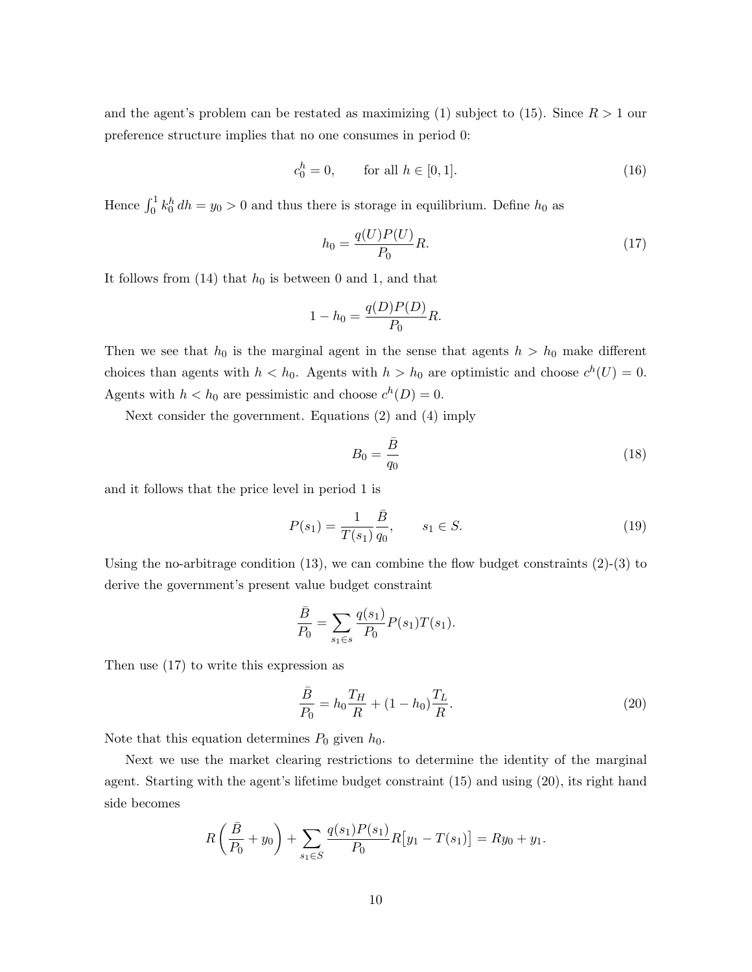and the agent's problem can be restated as maximizing (1) subject to (15). Since  $R > 1$  our preference structure implies that no one consumes in period 0:

$$
c_0^h = 0, \qquad \text{for all } h \in [0, 1]. \tag{16}
$$

Hence  $\int_0^1 k_0^h dh = y_0 > 0$  and thus there is storage in equilibrium. Define  $h_0$  as

$$
h_0 = \frac{q(U)P(U)}{P_0}R.\t\t(17)
$$

It follows from  $(14)$  that  $h_0$  is between 0 and 1, and that

$$
1 - h_0 = \frac{q(D)P(D)}{P_0}R.
$$

Then we see that  $h_0$  is the marginal agent in the sense that agents  $h > h_0$  make different choices than agents with  $h < h_0$ . Agents with  $h > h_0$  are optimistic and choose  $c^h(U) = 0$ . Agents with  $h < h_0$  are pessimistic and choose  $c^h(D) = 0$ .

Next consider the government. Equations (2) and (4) imply

$$
B_0 = \frac{\bar{B}}{q_0} \tag{18}
$$

and it follows that the price level in period 1 is

$$
P(s_1) = \frac{1}{T(s_1)} \frac{\bar{B}}{q_0}, \qquad s_1 \in S. \tag{19}
$$

Using the no-arbitrage condition  $(13)$ , we can combine the flow budget constraints  $(2)-(3)$  to derive the government's present value budget constraint

$$
\frac{\bar{B}}{P_0} = \sum_{s_1 \in s} \frac{q(s_1)}{P_0} P(s_1) T(s_1).
$$

Then use (17) to write this expression as

$$
\frac{\bar{B}}{P_0} = h_0 \frac{T_H}{R} + (1 - h_0) \frac{T_L}{R}.
$$
\n(20)

Note that this equation determines  $P_0$  given  $h_0$ .

Next we use the market clearing restrictions to determine the identity of the marginal agent. Starting with the agent's lifetime budget constraint (15) and using (20), its right hand side becomes

$$
R\left(\frac{\bar{B}}{P_0} + y_0\right) + \sum_{s_1 \in S} \frac{q(s_1)P(s_1)}{P_0} R\big[y_1 - T(s_1)\big] = Ry_0 + y_1.
$$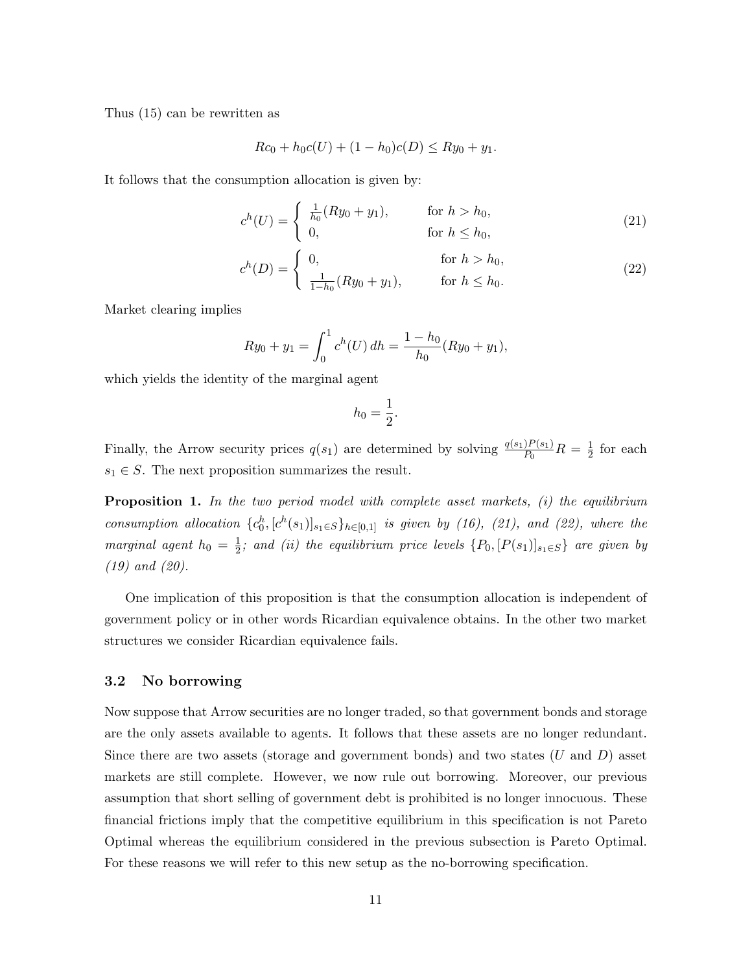Thus (15) can be rewritten as

$$
Rc_0 + h_0c(U) + (1 - h_0)c(D) \le Ry_0 + y_1.
$$

It follows that the consumption allocation is given by:

$$
c^{h}(U) = \begin{cases} \frac{1}{h_{0}}(Ry_{0} + y_{1}), & \text{for } h > h_{0}, \\ 0, & \text{for } h \le h_{0}, \end{cases}
$$
 (21)

$$
c^{h}(D) = \begin{cases} 0, & \text{for } h > h_0, \\ \frac{1}{1 - h_0}(Ry_0 + y_1), & \text{for } h \le h_0. \end{cases}
$$
 (22)

Market clearing implies

$$
Ry_0 + y_1 = \int_0^1 c^h(U) \, dh = \frac{1 - h_0}{h_0} (Ry_0 + y_1),
$$

which yields the identity of the marginal agent

$$
h_0 = \frac{1}{2}.
$$

Finally, the Arrow security prices  $q(s_1)$  are determined by solving  $\frac{q(s_1)P(s_1)}{P_0}R=\frac{1}{2}$  $rac{1}{2}$  for each  $s_1 \in S$ . The next proposition summarizes the result.

**Proposition 1.** In the two period model with complete asset markets, (i) the equilibrium consumption allocation  ${c_0^h, [c^h(s_1)]_{s_1 \in S}}_{h \in [0,1]}$  is given by (16), (21), and (22), where the marginal agent  $h_0 = \frac{1}{2}$  $\frac{1}{2}$ ; and (ii) the equilibrium price levels  $\{P_0, [P(s_1)]_{s_1 \in S}\}$  are given by (19) and (20).

One implication of this proposition is that the consumption allocation is independent of government policy or in other words Ricardian equivalence obtains. In the other two market structures we consider Ricardian equivalence fails.

#### 3.2 No borrowing

Now suppose that Arrow securities are no longer traded, so that government bonds and storage are the only assets available to agents. It follows that these assets are no longer redundant. Since there are two assets (storage and government bonds) and two states  $(U \text{ and } D)$  asset markets are still complete. However, we now rule out borrowing. Moreover, our previous assumption that short selling of government debt is prohibited is no longer innocuous. These financial frictions imply that the competitive equilibrium in this specification is not Pareto Optimal whereas the equilibrium considered in the previous subsection is Pareto Optimal. For these reasons we will refer to this new setup as the no-borrowing specification.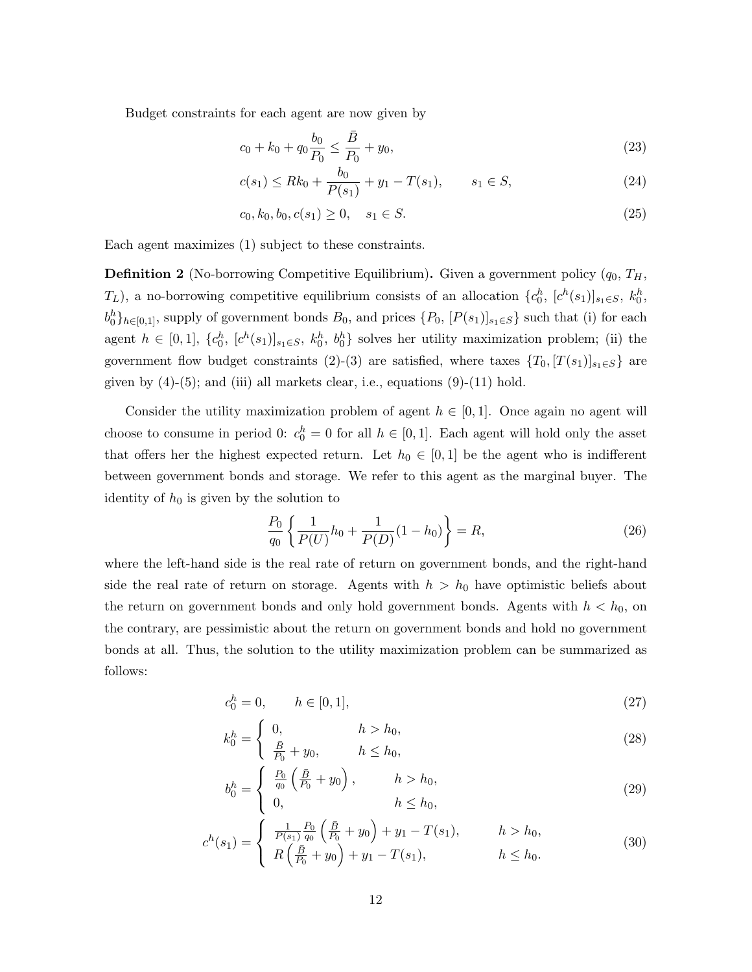Budget constraints for each agent are now given by

$$
c_0 + k_0 + q_0 \frac{b_0}{P_0} \le \frac{\bar{B}}{P_0} + y_0,\tag{23}
$$

$$
c(s_1) \le Rk_0 + \frac{b_0}{P(s_1)} + y_1 - T(s_1), \qquad s_1 \in S,
$$
\n(24)

$$
c_0, k_0, b_0, c(s_1) \ge 0, \quad s_1 \in S. \tag{25}
$$

Each agent maximizes (1) subject to these constraints.

**Definition 2** (No-borrowing Competitive Equilibrium). Given a government policy  $(q_0, T_H)$ ,  $T_L$ ), a no-borrowing competitive equilibrium consists of an allocation  $\{c_0^h, [c^h(s_1)]_{s_1 \in S}, k_0^h,$  $b_0^h\}_{h\in[0,1]}$ , supply of government bonds  $B_0$ , and prices  $\{P_0, [P(s_1)]_{s_1\in S}\}\$  such that (i) for each agent  $h \in [0,1]$ ,  $\{c_0^h, [c^h(s_1)]_{s_1 \in S}, k_0^h, b_0^h\}$  solves her utility maximization problem; (ii) the government flow budget constraints (2)-(3) are satisfied, where taxes  $\{T_0, [T(s_1)]_{s_1 \in S}\}\$  are given by  $(4)-(5)$ ; and (iii) all markets clear, i.e., equations  $(9)-(11)$  hold.

Consider the utility maximization problem of agent  $h \in [0, 1]$ . Once again no agent will choose to consume in period 0:  $c_0^h = 0$  for all  $h \in [0, 1]$ . Each agent will hold only the asset that offers her the highest expected return. Let  $h_0 \in [0,1]$  be the agent who is indifferent between government bonds and storage. We refer to this agent as the marginal buyer. The identity of  $h_0$  is given by the solution to

$$
\frac{P_0}{q_0} \left\{ \frac{1}{P(U)} h_0 + \frac{1}{P(D)} (1 - h_0) \right\} = R,\tag{26}
$$

where the left-hand side is the real rate of return on government bonds, and the right-hand side the real rate of return on storage. Agents with  $h > h_0$  have optimistic beliefs about the return on government bonds and only hold government bonds. Agents with  $h < h_0$ , on the contrary, are pessimistic about the return on government bonds and hold no government bonds at all. Thus, the solution to the utility maximization problem can be summarized as follows:

$$
c_0^h = 0, \qquad h \in [0, 1], \tag{27}
$$

$$
k_0^h = \begin{cases} 0, & h > h_0, \\ \frac{\bar{B}}{P_0} + y_0, & h \le h_0, \end{cases}
$$
 (28)

$$
b_0^h = \begin{cases} \frac{P_0}{q_0} \left( \frac{\bar{B}}{P_0} + y_0 \right), & h > h_0, \\ 0, & h \le h_0, \end{cases}
$$
 (29)

$$
c^{h}(s_{1}) = \begin{cases} \frac{1}{P(s_{1})} \frac{P_{0}}{q_{0}} \left( \frac{\bar{B}}{P_{0}} + y_{0} \right) + y_{1} - T(s_{1}), & h > h_{0}, \\ R \left( \frac{\bar{B}}{P_{0}} + y_{0} \right) + y_{1} - T(s_{1}), & h \leq h_{0}. \end{cases}
$$
(30)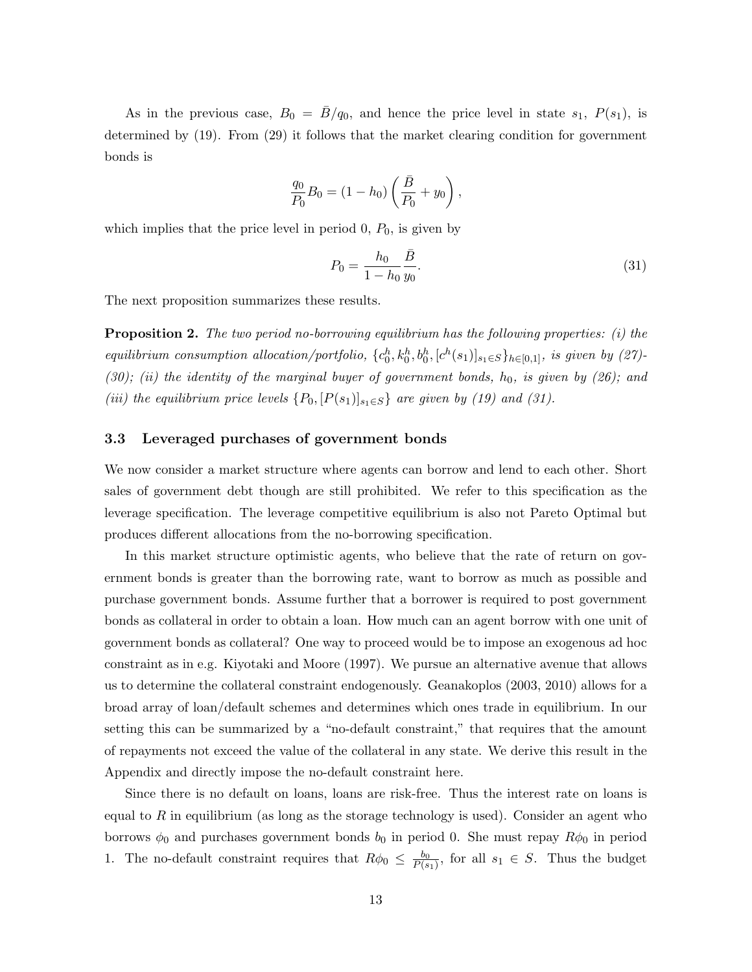As in the previous case,  $B_0 = \bar{B}/q_0$ , and hence the price level in state  $s_1$ ,  $P(s_1)$ , is determined by (19). From (29) it follows that the market clearing condition for government bonds is

$$
\frac{q_0}{P_0}B_0 = (1 - h_0) \left(\frac{\bar{B}}{P_0} + y_0\right),
$$

which implies that the price level in period  $0, P_0$ , is given by

$$
P_0 = \frac{h_0}{1 - h_0} \frac{\bar{B}}{y_0}.
$$
\n(31)

The next proposition summarizes these results.

**Proposition 2.** The two period no-borrowing equilibrium has the following properties: (i) the equilibrium consumption allocation/portfolio,  $\{c_0^h, k_0^h, b_0^h, [c^h(s_1)]_{s_1 \in S} \}_{h \in [0,1]}$ , is given by (27)-(30); (ii) the identity of the marginal buyer of government bonds,  $h_0$ , is given by (26); and (iii) the equilibrium price levels  $\{P_0, [P(s_1)]_{s_1 \in S}\}$  are given by (19) and (31).

#### 3.3 Leveraged purchases of government bonds

We now consider a market structure where agents can borrow and lend to each other. Short sales of government debt though are still prohibited. We refer to this specification as the leverage specification. The leverage competitive equilibrium is also not Pareto Optimal but produces different allocations from the no-borrowing specification.

In this market structure optimistic agents, who believe that the rate of return on government bonds is greater than the borrowing rate, want to borrow as much as possible and purchase government bonds. Assume further that a borrower is required to post government bonds as collateral in order to obtain a loan. How much can an agent borrow with one unit of government bonds as collateral? One way to proceed would be to impose an exogenous ad hoc constraint as in e.g. Kiyotaki and Moore (1997). We pursue an alternative avenue that allows us to determine the collateral constraint endogenously. Geanakoplos (2003, 2010) allows for a broad array of loan/default schemes and determines which ones trade in equilibrium. In our setting this can be summarized by a "no-default constraint," that requires that the amount of repayments not exceed the value of the collateral in any state. We derive this result in the Appendix and directly impose the no-default constraint here.

Since there is no default on loans, loans are risk-free. Thus the interest rate on loans is equal to  $R$  in equilibrium (as long as the storage technology is used). Consider an agent who borrows  $\phi_0$  and purchases government bonds  $b_0$  in period 0. She must repay  $R\phi_0$  in period 1. The no-default constraint requires that  $R\phi_0 \leq \frac{b_0}{P(s)}$  $\frac{b_0}{P(s_1)}$ , for all  $s_1 \in S$ . Thus the budget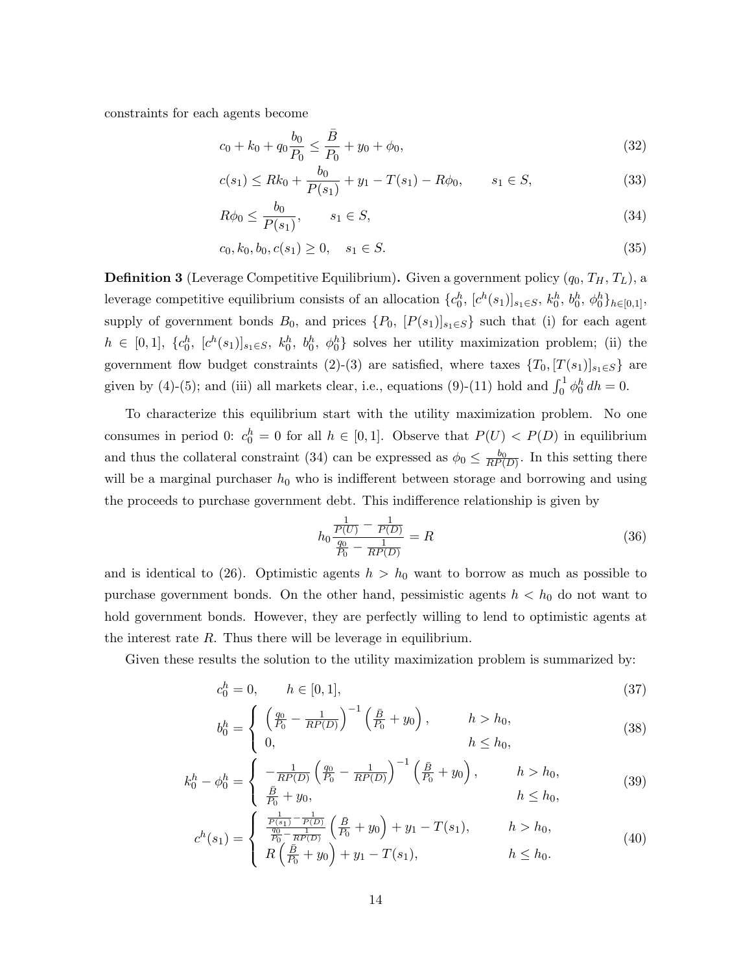constraints for each agents become

$$
c_0 + k_0 + q_0 \frac{b_0}{P_0} \le \frac{\bar{B}}{P_0} + y_0 + \phi_0,\tag{32}
$$

$$
c(s_1) \le Rk_0 + \frac{b_0}{P(s_1)} + y_1 - T(s_1) - R\phi_0, \qquad s_1 \in S,
$$
\n(33)

$$
R\phi_0 \le \frac{b_0}{P(s_1)}, \qquad s_1 \in S,\tag{34}
$$

$$
c_0, k_0, b_0, c(s_1) \ge 0, \quad s_1 \in S. \tag{35}
$$

**Definition 3** (Leverage Competitive Equilibrium). Given a government policy  $(q_0, T_H, T_L)$ , a leverage competitive equilibrium consists of an allocation  $\{c_0^h, [c^h(s_1)]_{s_1 \in S}, k_0^h, b_0^h, \phi_0^h\}_{h \in [0,1]},$ supply of government bonds  $B_0$ , and prices  $\{P_0, [P(s_1)]_{s_1\in S}\}\$  such that (i) for each agent  $h \in [0,1], \ \{c_0^h, [c^h(s_1)]_{s_1 \in S}, \ k_0^h, b_0^h, \ \phi_0^h\}$  solves her utility maximization problem; (ii) the government flow budget constraints (2)-(3) are satisfied, where taxes  $\{T_0, [T(s_1)]_{s_1 \in S}\}\$  are given by (4)-(5); and (iii) all markets clear, i.e., equations (9)-(11) hold and  $\int_0^1 \phi_0^h dh = 0$ .

To characterize this equilibrium start with the utility maximization problem. No one consumes in period 0:  $c_0^h = 0$  for all  $h \in [0,1]$ . Observe that  $P(U) < P(D)$  in equilibrium and thus the collateral constraint (34) can be expressed as  $\phi_0 \leq \frac{b_0}{RP(D)}$ . In this setting there will be a marginal purchaser  $h_0$  who is indifferent between storage and borrowing and using the proceeds to purchase government debt. This indifference relationship is given by

$$
h_0 \frac{\frac{1}{P(U)} - \frac{1}{P(D)}}{\frac{q_0}{P_0} - \frac{1}{RP(D)}} = R
$$
\n(36)

and is identical to (26). Optimistic agents  $h > h_0$  want to borrow as much as possible to purchase government bonds. On the other hand, pessimistic agents  $h < h_0$  do not want to hold government bonds. However, they are perfectly willing to lend to optimistic agents at the interest rate  $R$ . Thus there will be leverage in equilibrium.

Given these results the solution to the utility maximization problem is summarized by:

$$
c_0^h = 0, \qquad h \in [0, 1], \tag{37}
$$

$$
b_0^h = \begin{cases} \left(\frac{q_0}{P_0} - \frac{1}{RP(D)}\right)^{-1} \left(\frac{\bar{B}}{P_0} + y_0\right), & h > h_0, \\ 0, & h \le h_0, \end{cases}
$$
 (38)

$$
k_0^h - \phi_0^h = \begin{cases} -\frac{1}{RP(D)} \left( \frac{q_0}{P_0} - \frac{1}{RP(D)} \right)^{-1} \left( \frac{\bar{B}}{P_0} + y_0 \right), & h > h_0, \\ \frac{\bar{B}}{P_0} + y_0, & h \le h_0, \end{cases}
$$
(39)

$$
c^{h}(s_{1}) = \begin{cases} \frac{\frac{1}{P(s_{1})} - \frac{1}{P(D)}}{\frac{q_{0}}{P_{0}} - \frac{1}{RP(D)}} \left(\frac{\bar{B}}{P_{0}} + y_{0}\right) + y_{1} - T(s_{1}), & h > h_{0},\\ R\left(\frac{\bar{B}}{P_{0}} + y_{0}\right) + y_{1} - T(s_{1}), & h \leq h_{0}. \end{cases}
$$
(40)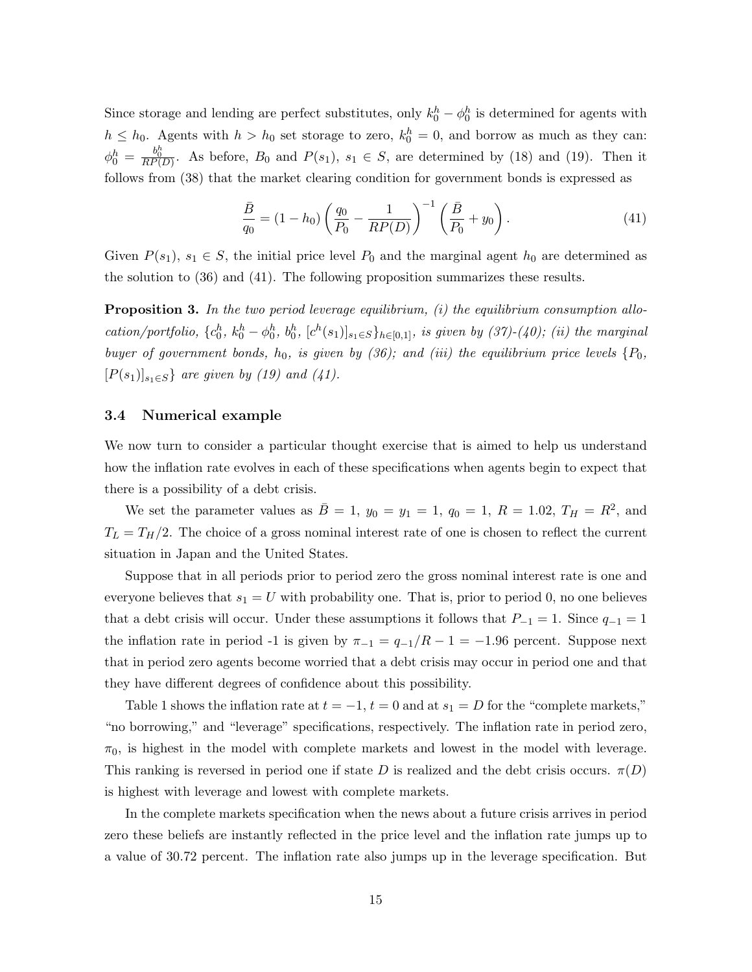Since storage and lending are perfect substitutes, only  $k_0^h - \phi_0^h$  is determined for agents with  $h \leq h_0$ . Agents with  $h > h_0$  set storage to zero,  $k_0^h = 0$ , and borrow as much as they can:  $\phi_0^h = \frac{b_0^h}{RP(D)}$ . As before,  $B_0$  and  $P(s_1)$ ,  $s_1 \in S$ , are determined by (18) and (19). Then it follows from (38) that the market clearing condition for government bonds is expressed as

$$
\frac{\bar{B}}{q_0} = (1 - h_0) \left( \frac{q_0}{P_0} - \frac{1}{RP(D)} \right)^{-1} \left( \frac{\bar{B}}{P_0} + y_0 \right). \tag{41}
$$

Given  $P(s_1)$ ,  $s_1 \in S$ , the initial price level  $P_0$  and the marginal agent  $h_0$  are determined as the solution to (36) and (41). The following proposition summarizes these results.

**Proposition 3.** In the two period leverage equilibrium,  $(i)$  the equilibrium consumption allocation/portfolio,  ${c_0^h, k_0^h - \phi_0^h, b_0^h, [c^h(s_1)]_{s_1 \in S}}_{h \in [0,1]}$ , is given by (37)-(40); (ii) the marginal buyer of government bonds,  $h_0$ , is given by (36); and (iii) the equilibrium price levels  $\{P_0,$  $[P(s_1)]_{s_1\in S}$  are given by (19) and (41).

#### 3.4 Numerical example

We now turn to consider a particular thought exercise that is aimed to help us understand how the inflation rate evolves in each of these specifications when agents begin to expect that there is a possibility of a debt crisis.

We set the parameter values as  $\bar{B} = 1, y_0 = y_1 = 1, q_0 = 1, R = 1.02, T_H = R^2$ , and  $T_L = T_H/2$ . The choice of a gross nominal interest rate of one is chosen to reflect the current situation in Japan and the United States.

Suppose that in all periods prior to period zero the gross nominal interest rate is one and everyone believes that  $s_1 = U$  with probability one. That is, prior to period 0, no one believes that a debt crisis will occur. Under these assumptions it follows that  $P_{-1} = 1$ . Since  $q_{-1} = 1$ the inflation rate in period -1 is given by  $\pi_{-1} = q_{-1}/R - 1 = -1.96$  percent. Suppose next that in period zero agents become worried that a debt crisis may occur in period one and that they have different degrees of confidence about this possibility.

Table 1 shows the inflation rate at  $t = -1$ ,  $t = 0$  and at  $s_1 = D$  for the "complete markets," "no borrowing," and "leverage" specifications, respectively. The inflation rate in period zero,  $\pi_0$ , is highest in the model with complete markets and lowest in the model with leverage. This ranking is reversed in period one if state D is realized and the debt crisis occurs.  $\pi(D)$ is highest with leverage and lowest with complete markets.

In the complete markets specification when the news about a future crisis arrives in period zero these beliefs are instantly reflected in the price level and the inflation rate jumps up to a value of 30.72 percent. The inflation rate also jumps up in the leverage specification. But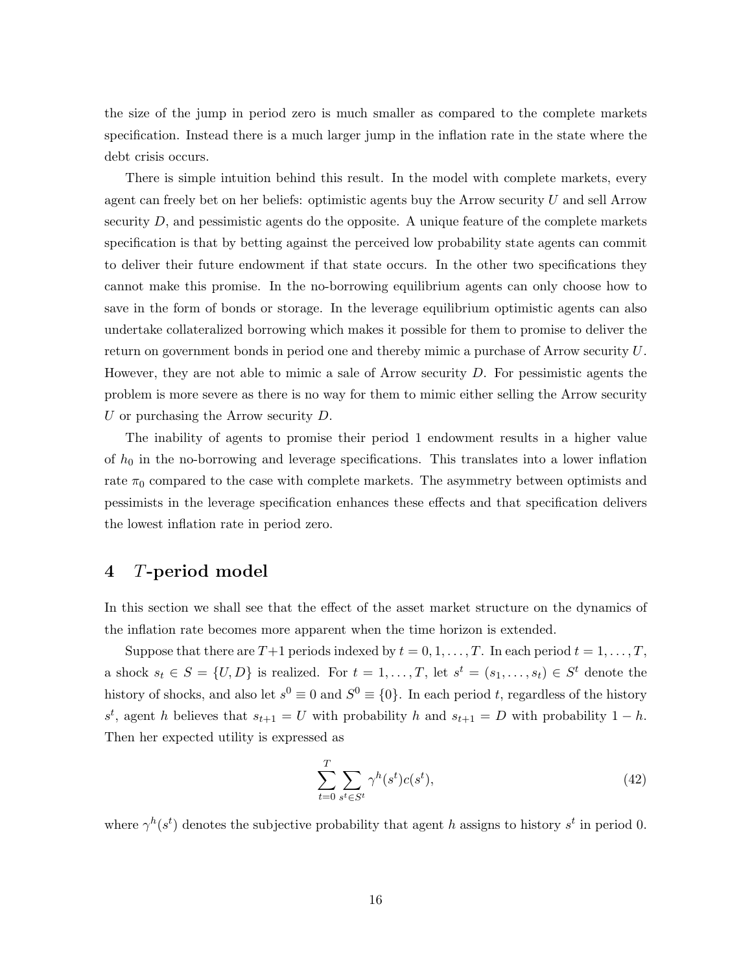the size of the jump in period zero is much smaller as compared to the complete markets specification. Instead there is a much larger jump in the inflation rate in the state where the debt crisis occurs.

There is simple intuition behind this result. In the model with complete markets, every agent can freely bet on her beliefs: optimistic agents buy the Arrow security  $U$  and sell Arrow security  $D$ , and pessimistic agents do the opposite. A unique feature of the complete markets specification is that by betting against the perceived low probability state agents can commit to deliver their future endowment if that state occurs. In the other two specifications they cannot make this promise. In the no-borrowing equilibrium agents can only choose how to save in the form of bonds or storage. In the leverage equilibrium optimistic agents can also undertake collateralized borrowing which makes it possible for them to promise to deliver the return on government bonds in period one and thereby mimic a purchase of Arrow security U. However, they are not able to mimic a sale of Arrow security D. For pessimistic agents the problem is more severe as there is no way for them to mimic either selling the Arrow security U or purchasing the Arrow security  $D$ .

The inability of agents to promise their period 1 endowment results in a higher value of  $h_0$  in the no-borrowing and leverage specifications. This translates into a lower inflation rate  $\pi_0$  compared to the case with complete markets. The asymmetry between optimists and pessimists in the leverage specification enhances these effects and that specification delivers the lowest inflation rate in period zero.

### 4 T-period model

In this section we shall see that the effect of the asset market structure on the dynamics of the inflation rate becomes more apparent when the time horizon is extended.

Suppose that there are  $T+1$  periods indexed by  $t = 0, 1, \ldots, T$ . In each period  $t = 1, \ldots, T$ , a shock  $s_t \in S = \{U, D\}$  is realized. For  $t = 1, \ldots, T$ , let  $s^t = (s_1, \ldots, s_t) \in S^t$  denote the history of shocks, and also let  $s^0 \equiv 0$  and  $S^0 \equiv \{0\}$ . In each period t, regardless of the history  $s^t$ , agent h believes that  $s_{t+1} = U$  with probability h and  $s_{t+1} = D$  with probability  $1 - h$ . Then her expected utility is expressed as

$$
\sum_{t=0}^{T} \sum_{s^t \in S^t} \gamma^h(s^t) c(s^t),\tag{42}
$$

where  $\gamma^h(s^t)$  denotes the subjective probability that agent h assigns to history  $s^t$  in period 0.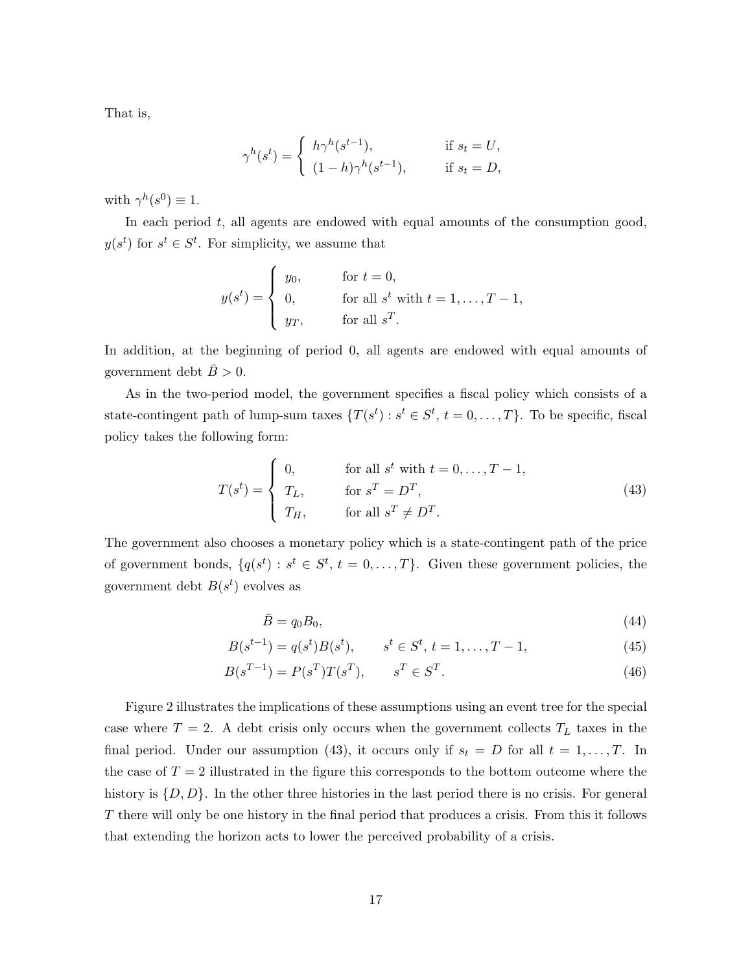That is,

$$
\gamma^h(s^t) = \begin{cases} h\gamma^h(s^{t-1}), & \text{if } s_t = U, \\ (1-h)\gamma^h(s^{t-1}), & \text{if } s_t = D, \end{cases}
$$

with  $\gamma^h(s^0) \equiv 1$ .

In each period  $t$ , all agents are endowed with equal amounts of the consumption good,  $y(s^t)$  for  $s^t \in S^t$ . For simplicity, we assume that

$$
y(st) = \begin{cases} y_0, & \text{for } t = 0, \\ 0, & \text{for all } st \text{ with } t = 1, \dots, T - 1, \\ y_T, & \text{for all } s^T. \end{cases}
$$

In addition, at the beginning of period 0, all agents are endowed with equal amounts of government debt  $\bar{B} > 0$ .

As in the two-period model, the government specifies a fiscal policy which consists of a state-contingent path of lump-sum taxes  $\{T(s^t) : s^t \in S^t, t = 0, \ldots, T\}$ . To be specific, fiscal policy takes the following form:

$$
T(st) = \begin{cases} 0, & \text{for all } st \text{ with } t = 0, \dots, T - 1, \\ T_L, & \text{for } s^T = D^T, \\ T_H, & \text{for all } s^T \neq D^T. \end{cases}
$$
(43)

The government also chooses a monetary policy which is a state-contingent path of the price of government bonds,  $\{q(s^t): s^t \in S^t, t = 0, \ldots, T\}$ . Given these government policies, the government debt  $B(s^t)$  evolves as

$$
\bar{B} = q_0 B_0,\tag{44}
$$

$$
B(s^{t-1}) = q(s^t)B(s^t), \qquad s^t \in S^t, \ t = 1, \dots, T-1,
$$
\n<sup>(45)</sup>

$$
B(s^{T-1}) = P(s^T)T(s^T), \qquad s^T \in S^T.
$$
\n(46)

Figure 2 illustrates the implications of these assumptions using an event tree for the special case where  $T = 2$ . A debt crisis only occurs when the government collects  $T_L$  taxes in the final period. Under our assumption (43), it occurs only if  $s_t = D$  for all  $t = 1, ..., T$ . In the case of  $T = 2$  illustrated in the figure this corresponds to the bottom outcome where the history is  $\{D, D\}$ . In the other three histories in the last period there is no crisis. For general T there will only be one history in the final period that produces a crisis. From this it follows that extending the horizon acts to lower the perceived probability of a crisis.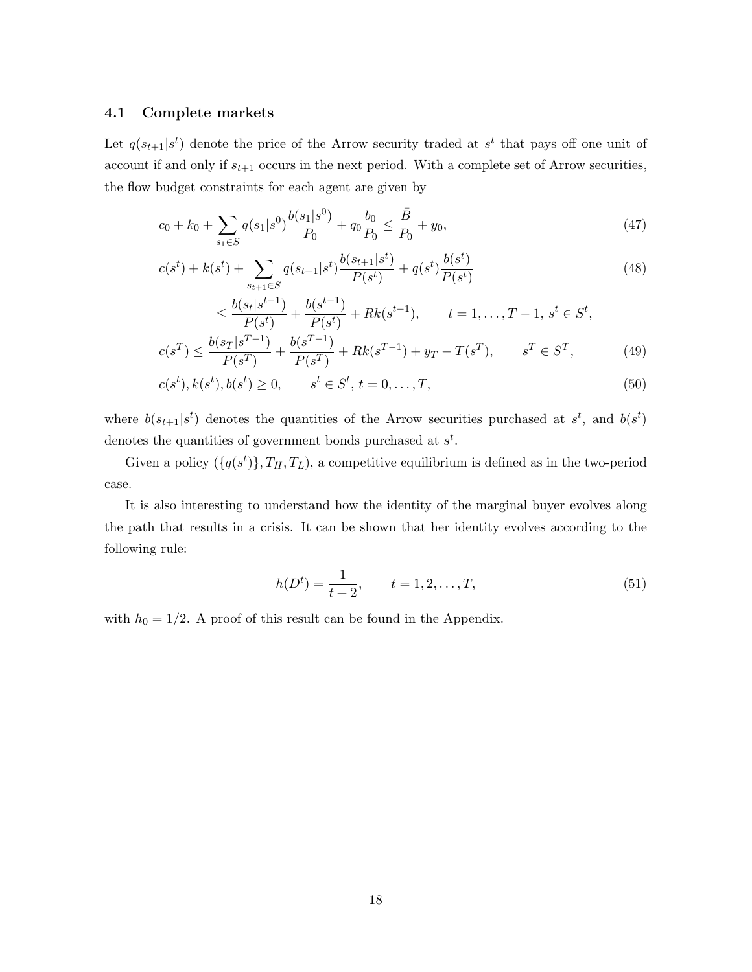#### 4.1 Complete markets

Let  $q(s_{t+1}|s^t)$  denote the price of the Arrow security traded at  $s^t$  that pays off one unit of account if and only if  $s_{t+1}$  occurs in the next period. With a complete set of Arrow securities, the flow budget constraints for each agent are given by

$$
c_0 + k_0 + \sum_{s_1 \in S} q(s_1|s^0) \frac{b(s_1|s^0)}{P_0} + q_0 \frac{b_0}{P_0} \le \frac{\bar{B}}{P_0} + y_0,\tag{47}
$$

$$
c(s^t) + k(s^t) + \sum_{s_{t+1} \in S} q(s_{t+1}|s^t) \frac{b(s_{t+1}|s^t)}{P(s^t)} + q(s^t) \frac{b(s^t)}{P(s^t)}
$$
(48)

$$
\leq \frac{b(s_t|s^{t-1})}{P(s^t)} + \frac{b(s^{t-1})}{P(s^t)} + Rk(s^{t-1}), \qquad t = 1, \dots, T-1, \ s^t \in S^t,
$$
  

$$
b(s_T|s^{T-1}) - b(s^{T-1}) = T(s_T) - T(s_T)
$$

$$
c(s^T) \le \frac{b(s_T|s^{T-1})}{P(s^T)} + \frac{b(s^{T-1})}{P(s^T)} + Rk(s^{T-1}) + y_T - T(s^T), \qquad s^T \in S^T,
$$
 (49)

$$
c(s^t), k(s^t), b(s^t) \ge 0, \qquad s^t \in S^t, t = 0, \dots, T,
$$
\n(50)

where  $b(s_{t+1}|s^t)$  denotes the quantities of the Arrow securities purchased at  $s^t$ , and  $b(s^t)$ denotes the quantities of government bonds purchased at  $s^t$ .

Given a policy  $(\{q(s^t)\}, T_H, T_L)$ , a competitive equilibrium is defined as in the two-period case.

It is also interesting to understand how the identity of the marginal buyer evolves along the path that results in a crisis. It can be shown that her identity evolves according to the following rule:

$$
h(Dt) = \frac{1}{t+2}, \qquad t = 1, 2, \dots, T,
$$
\n(51)

with  $h_0 = 1/2$ . A proof of this result can be found in the Appendix.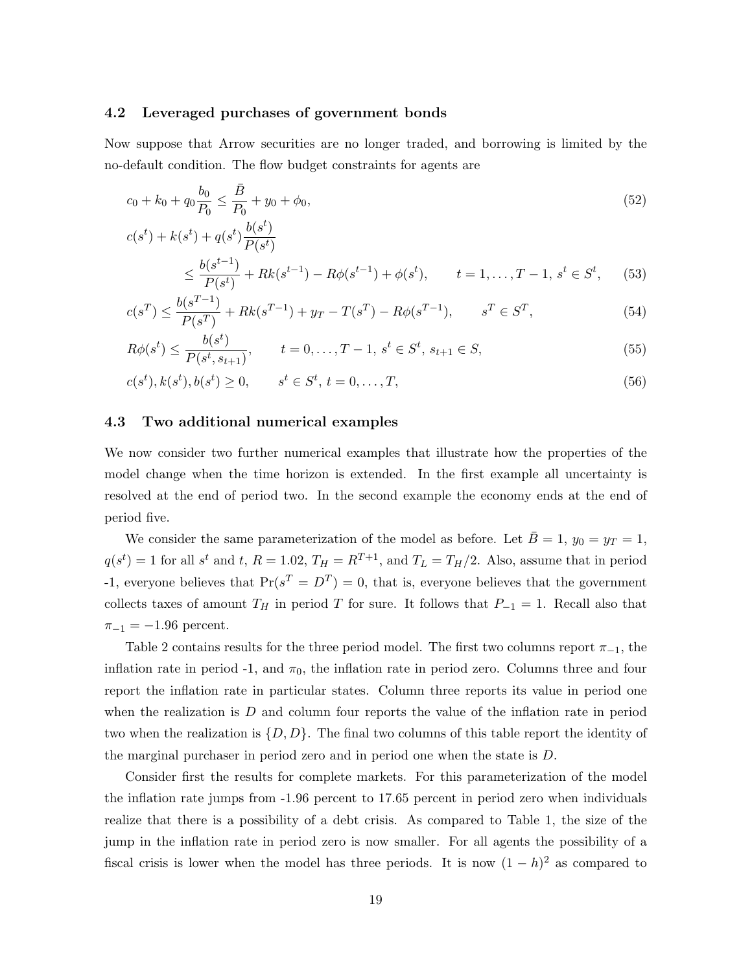#### 4.2 Leveraged purchases of government bonds

Now suppose that Arrow securities are no longer traded, and borrowing is limited by the no-default condition. The flow budget constraints for agents are

$$
c_0 + k_0 + q_0 \frac{b_0}{P_0} \le \frac{\bar{B}}{P_0} + y_0 + \phi_0,\tag{52}
$$

$$
c(s^{t}) + k(s^{t}) + q(s^{t}) \frac{b(s^{t})}{P(s^{t})}
$$
  

$$
< \frac{b(s^{t-1})}{P(s^{t})} + Bk(s^{t-1}) - Bk(s^{t-1}) + \phi(s^{t}) \qquad t-1 \qquad T-1 \quad s^{t} \in S^{t} \qquad (
$$

$$
\leq \frac{b(s^{t-1})}{P(s^t)} + Rk(s^{t-1}) - R\phi(s^{t-1}) + \phi(s^t), \qquad t = 1, \dots, T-1, \, s^t \in S^t,\tag{53}
$$

$$
c(s^T) \le \frac{b(s^{T-1})}{P(s^T)} + Rk(s^{T-1}) + y_T - T(s^T) - R\phi(s^{T-1}), \qquad s^T \in S^T,
$$
\n(54)

$$
R\phi(s^t) \le \frac{b(s^t)}{P(s^t, s_{t+1})}, \qquad t = 0, \dots, T - 1, \, s^t \in S^t, \, s_{t+1} \in S,\tag{55}
$$

$$
c(s^t), k(s^t), b(s^t) \ge 0, \qquad s^t \in S^t, t = 0, \dots, T,
$$
\n(56)

#### 4.3 Two additional numerical examples

We now consider two further numerical examples that illustrate how the properties of the model change when the time horizon is extended. In the first example all uncertainty is resolved at the end of period two. In the second example the economy ends at the end of period five.

We consider the same parameterization of the model as before. Let  $\overline{B} = 1$ ,  $y_0 = y_T = 1$ ,  $q(s^t) = 1$  for all  $s^t$  and t,  $R = 1.02$ ,  $T_H = R^{T+1}$ , and  $T_L = T_H/2$ . Also, assume that in period -1, everyone believes that  $Pr(s^T = D^T) = 0$ , that is, everyone believes that the government collects taxes of amount  $T_H$  in period T for sure. It follows that  $P_{-1} = 1$ . Recall also that  $\pi_{-1} = -1.96$  percent.

Table 2 contains results for the three period model. The first two columns report  $\pi_{-1}$ , the inflation rate in period -1, and  $\pi_0$ , the inflation rate in period zero. Columns three and four report the inflation rate in particular states. Column three reports its value in period one when the realization is  $D$  and column four reports the value of the inflation rate in period two when the realization is  $\{D, D\}$ . The final two columns of this table report the identity of the marginal purchaser in period zero and in period one when the state is D.

Consider first the results for complete markets. For this parameterization of the model the inflation rate jumps from -1.96 percent to 17.65 percent in period zero when individuals realize that there is a possibility of a debt crisis. As compared to Table 1, the size of the jump in the inflation rate in period zero is now smaller. For all agents the possibility of a fiscal crisis is lower when the model has three periods. It is now  $(1-h)^2$  as compared to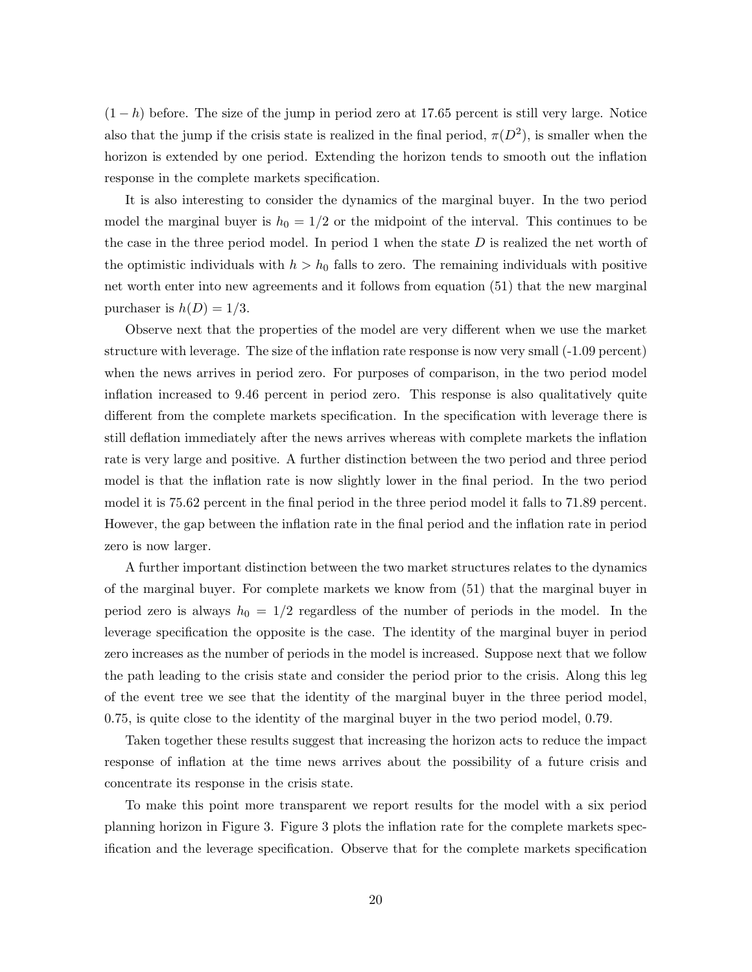$(1-h)$  before. The size of the jump in period zero at 17.65 percent is still very large. Notice also that the jump if the crisis state is realized in the final period,  $\pi(D^2)$ , is smaller when the horizon is extended by one period. Extending the horizon tends to smooth out the inflation response in the complete markets specification.

It is also interesting to consider the dynamics of the marginal buyer. In the two period model the marginal buyer is  $h_0 = 1/2$  or the midpoint of the interval. This continues to be the case in the three period model. In period 1 when the state  $D$  is realized the net worth of the optimistic individuals with  $h > h_0$  falls to zero. The remaining individuals with positive net worth enter into new agreements and it follows from equation (51) that the new marginal purchaser is  $h(D) = 1/3$ .

Observe next that the properties of the model are very different when we use the market structure with leverage. The size of the inflation rate response is now very small (-1.09 percent) when the news arrives in period zero. For purposes of comparison, in the two period model inflation increased to 9.46 percent in period zero. This response is also qualitatively quite different from the complete markets specification. In the specification with leverage there is still deflation immediately after the news arrives whereas with complete markets the inflation rate is very large and positive. A further distinction between the two period and three period model is that the inflation rate is now slightly lower in the final period. In the two period model it is 75.62 percent in the final period in the three period model it falls to 71.89 percent. However, the gap between the inflation rate in the final period and the inflation rate in period zero is now larger.

A further important distinction between the two market structures relates to the dynamics of the marginal buyer. For complete markets we know from (51) that the marginal buyer in period zero is always  $h_0 = 1/2$  regardless of the number of periods in the model. In the leverage specification the opposite is the case. The identity of the marginal buyer in period zero increases as the number of periods in the model is increased. Suppose next that we follow the path leading to the crisis state and consider the period prior to the crisis. Along this leg of the event tree we see that the identity of the marginal buyer in the three period model, 0.75, is quite close to the identity of the marginal buyer in the two period model, 0.79.

Taken together these results suggest that increasing the horizon acts to reduce the impact response of inflation at the time news arrives about the possibility of a future crisis and concentrate its response in the crisis state.

To make this point more transparent we report results for the model with a six period planning horizon in Figure 3. Figure 3 plots the inflation rate for the complete markets specification and the leverage specification. Observe that for the complete markets specification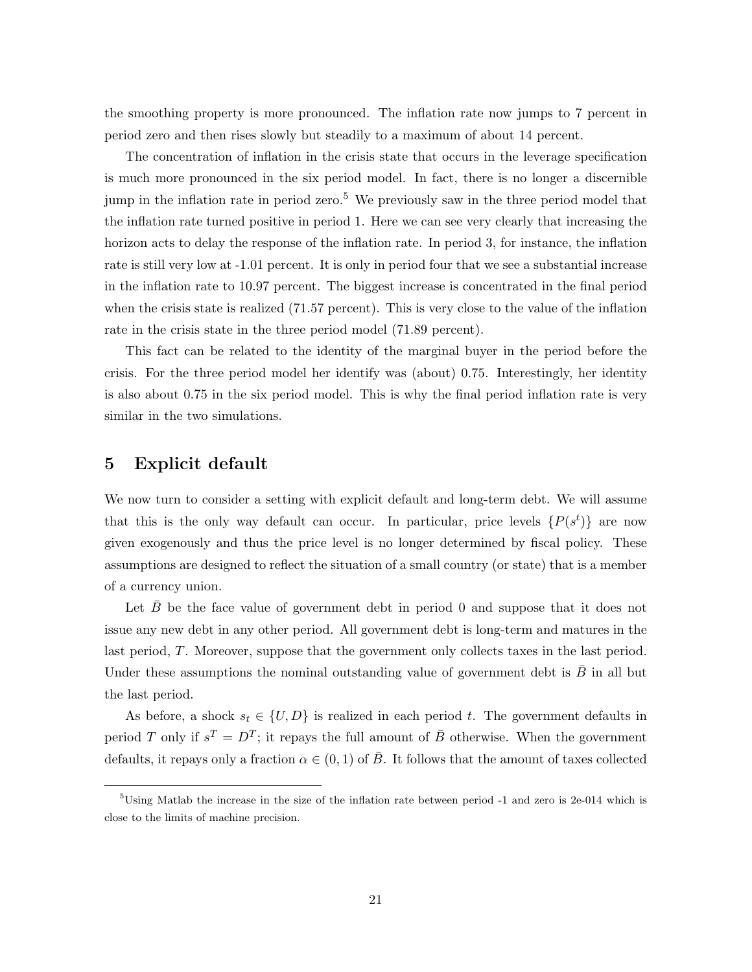the smoothing property is more pronounced. The inflation rate now jumps to 7 percent in period zero and then rises slowly but steadily to a maximum of about 14 percent.

The concentration of inflation in the crisis state that occurs in the leverage specification is much more pronounced in the six period model. In fact, there is no longer a discernible jump in the inflation rate in period zero.<sup>5</sup> We previously saw in the three period model that the inflation rate turned positive in period 1. Here we can see very clearly that increasing the horizon acts to delay the response of the inflation rate. In period 3, for instance, the inflation rate is still very low at -1.01 percent. It is only in period four that we see a substantial increase in the inflation rate to 10.97 percent. The biggest increase is concentrated in the final period when the crisis state is realized (71.57 percent). This is very close to the value of the inflation rate in the crisis state in the three period model (71.89 percent).

This fact can be related to the identity of the marginal buyer in the period before the crisis. For the three period model her identify was (about) 0.75. Interestingly, her identity is also about 0.75 in the six period model. This is why the final period inflation rate is very similar in the two simulations.

### 5 Explicit default

We now turn to consider a setting with explicit default and long-term debt. We will assume that this is the only way default can occur. In particular, price levels  $\{P(s^t)\}\$ are now given exogenously and thus the price level is no longer determined by fiscal policy. These assumptions are designed to reflect the situation of a small country (or state) that is a member of a currency union.

Let  $\bar{B}$  be the face value of government debt in period 0 and suppose that it does not issue any new debt in any other period. All government debt is long-term and matures in the last period, T. Moreover, suppose that the government only collects taxes in the last period. Under these assumptions the nominal outstanding value of government debt is  $\overline{B}$  in all but the last period.

As before, a shock  $s_t \in \{U, D\}$  is realized in each period t. The government defaults in period T only if  $s^T = D^T$ ; it repays the full amount of  $\bar{B}$  otherwise. When the government defaults, it repays only a fraction  $\alpha \in (0,1)$  of  $\overline{B}$ . It follows that the amount of taxes collected

<sup>5</sup>Using Matlab the increase in the size of the inflation rate between period -1 and zero is 2e-014 which is close to the limits of machine precision.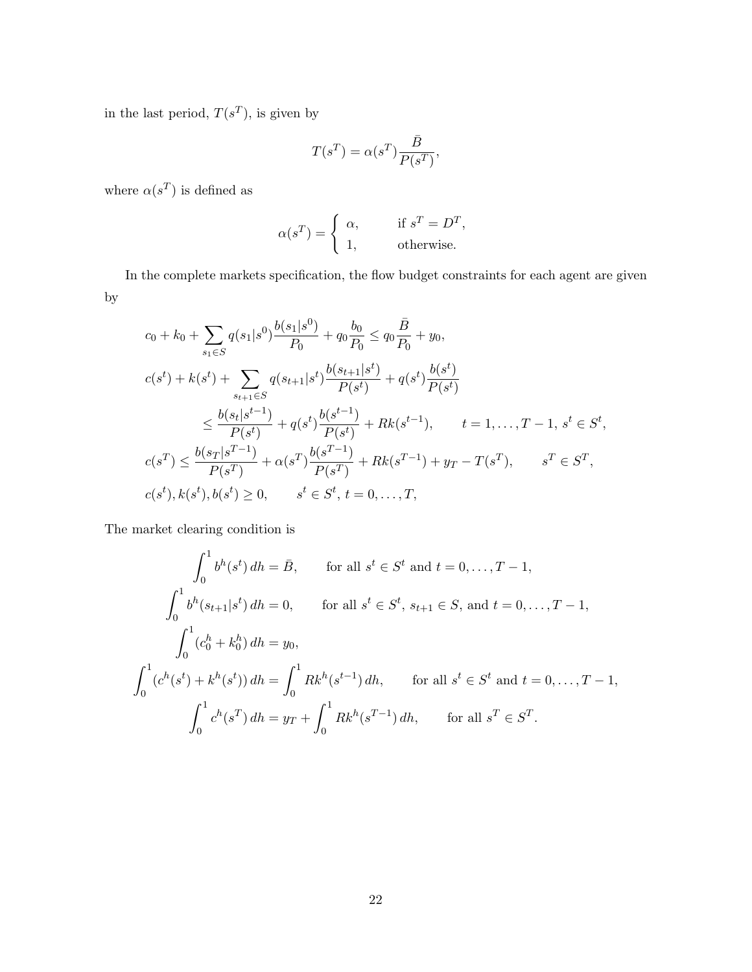in the last period,  $T(s^T)$ , is given by

$$
T(s^T) = \alpha(s^T) \frac{\bar{B}}{P(s^T)},
$$

where  $\alpha(s^T)$  is defined as

$$
\alpha(s^T) = \begin{cases} \alpha, & \text{if } s^T = D^T, \\ 1, & \text{otherwise.} \end{cases}
$$

In the complete markets specification, the flow budget constraints for each agent are given by

$$
c_{0} + k_{0} + \sum_{s_{1} \in S} q(s_{1}|s^{0}) \frac{b(s_{1}|s^{0})}{P_{0}} + q_{0} \frac{b_{0}}{P_{0}} \leq q_{0} \frac{\bar{B}}{P_{0}} + y_{0},
$$
  
\n
$$
c(s^{t}) + k(s^{t}) + \sum_{s_{t+1} \in S} q(s_{t+1}|s^{t}) \frac{b(s_{t+1}|s^{t})}{P(s^{t})} + q(s^{t}) \frac{b(s^{t})}{P(s^{t})}
$$
  
\n
$$
\leq \frac{b(s_{t}|s^{t-1})}{P(s^{t})} + q(s^{t}) \frac{b(s^{t-1})}{P(s^{t})} + Rk(s^{t-1}), \qquad t = 1, ..., T - 1, s^{t} \in S^{t},
$$
  
\n
$$
c(s^{T}) \leq \frac{b(s_{T}|s^{T-1})}{P(s^{T})} + \alpha(s^{T}) \frac{b(s^{T-1})}{P(s^{T})} + Rk(s^{T-1}) + y_{T} - T(s^{T}), \qquad s^{T} \in S^{T},
$$
  
\n
$$
c(s^{t}), k(s^{t}), b(s^{t}) \geq 0, \qquad s^{t} \in S^{t}, t = 0, ..., T,
$$

The market clearing condition is

$$
\int_0^1 b^h(s^t) \, dh = \bar{B}, \qquad \text{for all } s^t \in S^t \text{ and } t = 0, \dots, T - 1,
$$
\n
$$
\int_0^1 b^h(s_{t+1}|s^t) \, dh = 0, \qquad \text{for all } s^t \in S^t, \, s_{t+1} \in S, \text{ and } t = 0, \dots, T - 1,
$$
\n
$$
\int_0^1 (c_0^h + k_0^h) \, dh = y_0,
$$
\n
$$
\int_0^1 (c^h(s^t) + k^h(s^t)) \, dh = \int_0^1 Rk^h(s^{t-1}) \, dh, \qquad \text{for all } s^t \in S^t \text{ and } t = 0, \dots, T - 1,
$$
\n
$$
\int_0^1 c^h(s^T) \, dh = y_T + \int_0^1 Rk^h(s^{T-1}) \, dh, \qquad \text{for all } s^T \in S^T.
$$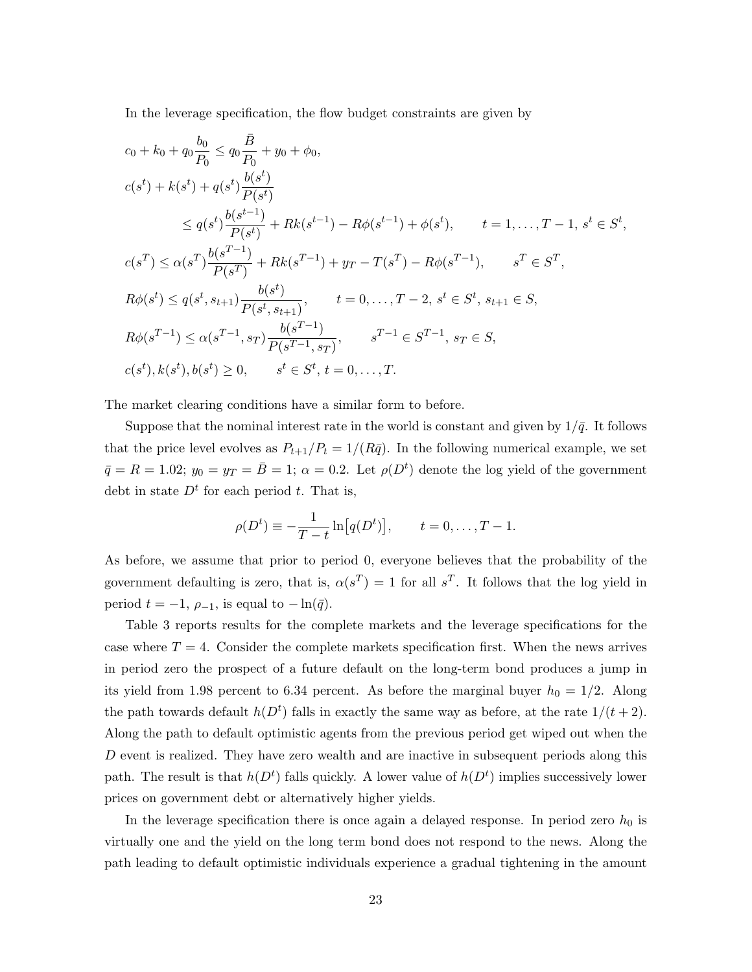In the leverage specification, the flow budget constraints are given by

$$
c_{0} + k_{0} + q_{0} \frac{b_{0}}{P_{0}} \leq q_{0} \frac{\bar{B}}{P_{0}} + y_{0} + \phi_{0},
$$
  
\n
$$
c(s^{t}) + k(s^{t}) + q(s^{t}) \frac{b(s^{t})}{P(s^{t})}
$$
  
\n
$$
\leq q(s^{t}) \frac{b(s^{t-1})}{P(s^{t})} + Rk(s^{t-1}) - R\phi(s^{t-1}) + \phi(s^{t}), \qquad t = 1, ..., T - 1, s^{t} \in S^{t},
$$
  
\n
$$
c(s^{T}) \leq \alpha(s^{T}) \frac{b(s^{T-1})}{P(s^{T})} + Rk(s^{T-1}) + y_{T} - T(s^{T}) - R\phi(s^{T-1}), \qquad s^{T} \in S^{T},
$$
  
\n
$$
R\phi(s^{t}) \leq q(s^{t}, s_{t+1}) \frac{b(s^{t})}{P(s^{t}, s_{t+1})}, \qquad t = 0, ..., T - 2, s^{t} \in S^{t}, s_{t+1} \in S,
$$
  
\n
$$
R\phi(s^{T-1}) \leq \alpha(s^{T-1}, s_{T}) \frac{b(s^{T-1})}{P(s^{T-1}, s_{T})}, \qquad s^{T-1} \in S^{T-1}, s_{T} \in S,
$$
  
\n
$$
c(s^{t}), k(s^{t}), b(s^{t}) \geq 0, \qquad s^{t} \in S^{t}, t = 0, ..., T.
$$

The market clearing conditions have a similar form to before.

Suppose that the nominal interest rate in the world is constant and given by  $1/\bar{q}$ . It follows that the price level evolves as  $P_{t+1}/P_t = 1/(R\bar{q})$ . In the following numerical example, we set  $\bar{q} = R = 1.02; y_0 = y_T = \bar{B} = 1; \alpha = 0.2.$  Let  $\rho(D^t)$  denote the log yield of the government debt in state  $D<sup>t</sup>$  for each period t. That is,

$$
\rho(D^t) \equiv -\frac{1}{T-t} \ln[q(D^t)], \qquad t = 0, ..., T-1.
$$

As before, we assume that prior to period 0, everyone believes that the probability of the government defaulting is zero, that is,  $\alpha(s^T) = 1$  for all  $s^T$ . It follows that the log yield in period  $t = -1$ ,  $\rho_{-1}$ , is equal to  $-\ln(\bar{q})$ .

Table 3 reports results for the complete markets and the leverage specifications for the case where  $T = 4$ . Consider the complete markets specification first. When the news arrives in period zero the prospect of a future default on the long-term bond produces a jump in its yield from 1.98 percent to 6.34 percent. As before the marginal buyer  $h_0 = 1/2$ . Along the path towards default  $h(D<sup>t</sup>)$  falls in exactly the same way as before, at the rate  $1/(t+2)$ . Along the path to default optimistic agents from the previous period get wiped out when the  $D$  event is realized. They have zero wealth and are inactive in subsequent periods along this path. The result is that  $h(D<sup>t</sup>)$  falls quickly. A lower value of  $h(D<sup>t</sup>)$  implies successively lower prices on government debt or alternatively higher yields.

In the leverage specification there is once again a delayed response. In period zero  $h_0$  is virtually one and the yield on the long term bond does not respond to the news. Along the path leading to default optimistic individuals experience a gradual tightening in the amount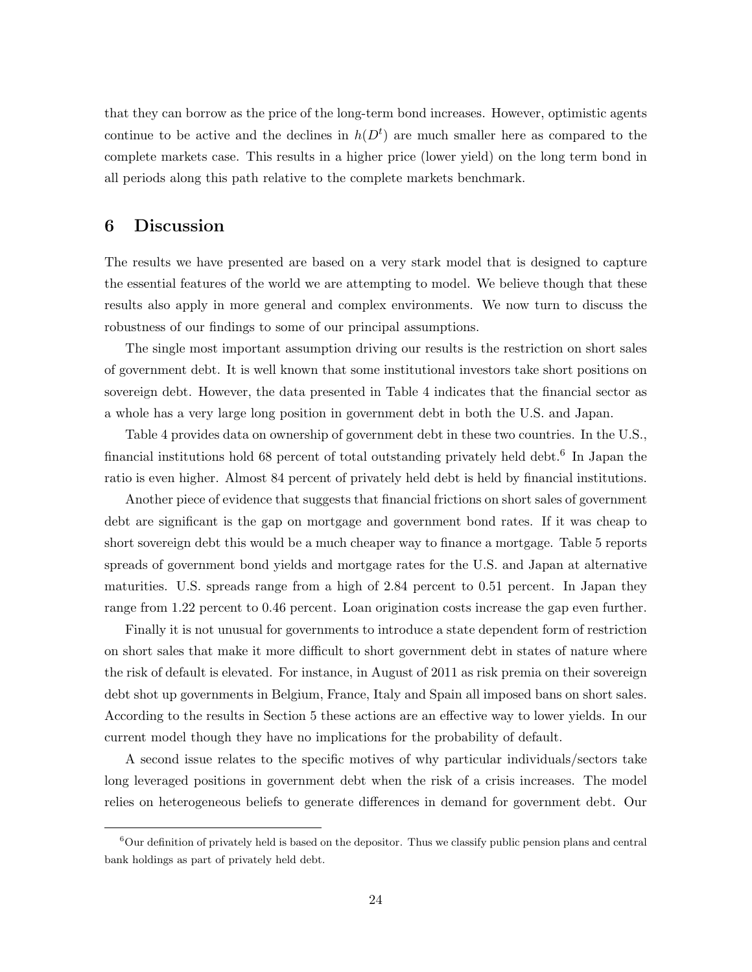that they can borrow as the price of the long-term bond increases. However, optimistic agents continue to be active and the declines in  $h(D<sup>t</sup>)$  are much smaller here as compared to the complete markets case. This results in a higher price (lower yield) on the long term bond in all periods along this path relative to the complete markets benchmark.

### 6 Discussion

The results we have presented are based on a very stark model that is designed to capture the essential features of the world we are attempting to model. We believe though that these results also apply in more general and complex environments. We now turn to discuss the robustness of our findings to some of our principal assumptions.

The single most important assumption driving our results is the restriction on short sales of government debt. It is well known that some institutional investors take short positions on sovereign debt. However, the data presented in Table 4 indicates that the financial sector as a whole has a very large long position in government debt in both the U.S. and Japan.

Table 4 provides data on ownership of government debt in these two countries. In the U.S., financial institutions hold 68 percent of total outstanding privately held debt.<sup>6</sup> In Japan the ratio is even higher. Almost 84 percent of privately held debt is held by financial institutions.

Another piece of evidence that suggests that financial frictions on short sales of government debt are significant is the gap on mortgage and government bond rates. If it was cheap to short sovereign debt this would be a much cheaper way to finance a mortgage. Table 5 reports spreads of government bond yields and mortgage rates for the U.S. and Japan at alternative maturities. U.S. spreads range from a high of 2.84 percent to 0.51 percent. In Japan they range from 1.22 percent to 0.46 percent. Loan origination costs increase the gap even further.

Finally it is not unusual for governments to introduce a state dependent form of restriction on short sales that make it more difficult to short government debt in states of nature where the risk of default is elevated. For instance, in August of 2011 as risk premia on their sovereign debt shot up governments in Belgium, France, Italy and Spain all imposed bans on short sales. According to the results in Section 5 these actions are an effective way to lower yields. In our current model though they have no implications for the probability of default.

A second issue relates to the specific motives of why particular individuals/sectors take long leveraged positions in government debt when the risk of a crisis increases. The model relies on heterogeneous beliefs to generate differences in demand for government debt. Our

<sup>6</sup>Our definition of privately held is based on the depositor. Thus we classify public pension plans and central bank holdings as part of privately held debt.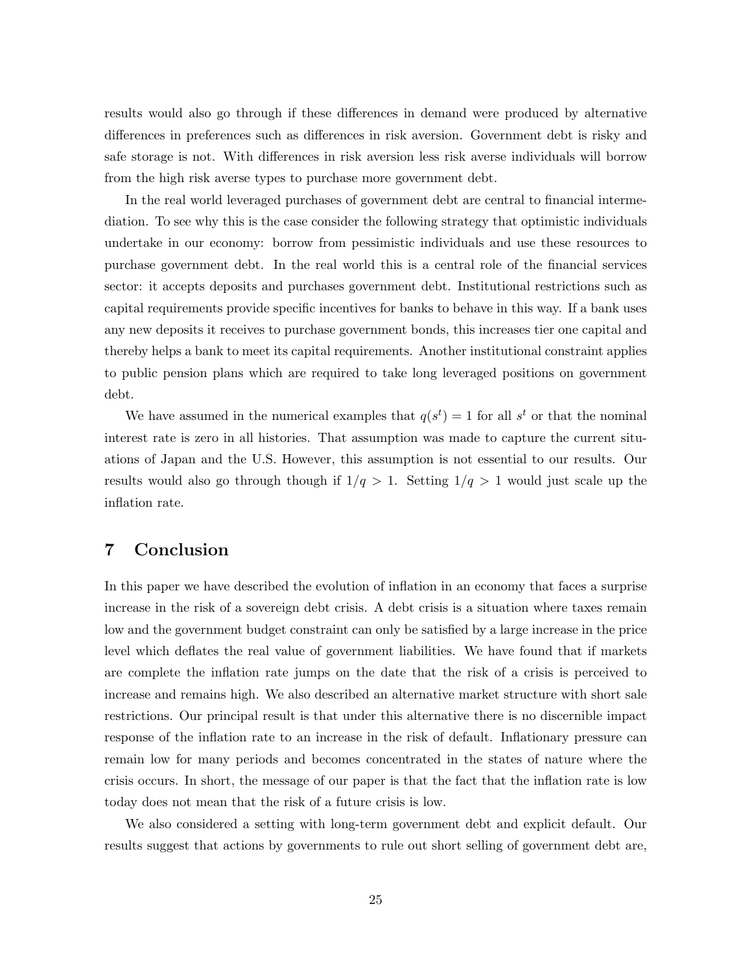results would also go through if these differences in demand were produced by alternative differences in preferences such as differences in risk aversion. Government debt is risky and safe storage is not. With differences in risk aversion less risk averse individuals will borrow from the high risk averse types to purchase more government debt.

In the real world leveraged purchases of government debt are central to financial intermediation. To see why this is the case consider the following strategy that optimistic individuals undertake in our economy: borrow from pessimistic individuals and use these resources to purchase government debt. In the real world this is a central role of the financial services sector: it accepts deposits and purchases government debt. Institutional restrictions such as capital requirements provide specific incentives for banks to behave in this way. If a bank uses any new deposits it receives to purchase government bonds, this increases tier one capital and thereby helps a bank to meet its capital requirements. Another institutional constraint applies to public pension plans which are required to take long leveraged positions on government debt.

We have assumed in the numerical examples that  $q(s^t) = 1$  for all  $s^t$  or that the nominal interest rate is zero in all histories. That assumption was made to capture the current situations of Japan and the U.S. However, this assumption is not essential to our results. Our results would also go through though if  $1/q > 1$ . Setting  $1/q > 1$  would just scale up the inflation rate.

### 7 Conclusion

In this paper we have described the evolution of inflation in an economy that faces a surprise increase in the risk of a sovereign debt crisis. A debt crisis is a situation where taxes remain low and the government budget constraint can only be satisfied by a large increase in the price level which deflates the real value of government liabilities. We have found that if markets are complete the inflation rate jumps on the date that the risk of a crisis is perceived to increase and remains high. We also described an alternative market structure with short sale restrictions. Our principal result is that under this alternative there is no discernible impact response of the inflation rate to an increase in the risk of default. Inflationary pressure can remain low for many periods and becomes concentrated in the states of nature where the crisis occurs. In short, the message of our paper is that the fact that the inflation rate is low today does not mean that the risk of a future crisis is low.

We also considered a setting with long-term government debt and explicit default. Our results suggest that actions by governments to rule out short selling of government debt are,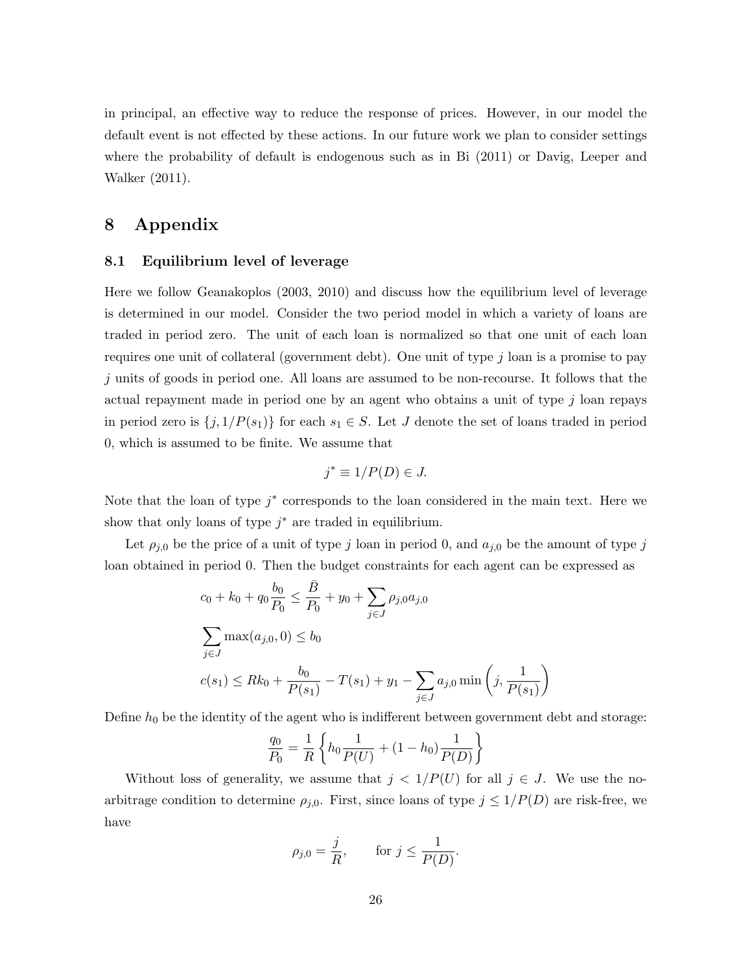in principal, an effective way to reduce the response of prices. However, in our model the default event is not effected by these actions. In our future work we plan to consider settings where the probability of default is endogenous such as in Bi (2011) or Davig, Leeper and Walker (2011).

### 8 Appendix

#### 8.1 Equilibrium level of leverage

Here we follow Geanakoplos (2003, 2010) and discuss how the equilibrium level of leverage is determined in our model. Consider the two period model in which a variety of loans are traded in period zero. The unit of each loan is normalized so that one unit of each loan requires one unit of collateral (government debt). One unit of type  $j$  loan is a promise to pay j units of goods in period one. All loans are assumed to be non-recourse. It follows that the actual repayment made in period one by an agent who obtains a unit of type  $j$  loan repays in period zero is  $\{j, 1/P(s_1)\}$  for each  $s_1 \in S$ . Let J denote the set of loans traded in period 0, which is assumed to be finite. We assume that

$$
j^* \equiv 1/P(D) \in J.
$$

Note that the loan of type  $j^*$  corresponds to the loan considered in the main text. Here we show that only loans of type  $j^*$  are traded in equilibrium.

Let  $\rho_{j,0}$  be the price of a unit of type j loan in period 0, and  $a_{j,0}$  be the amount of type j loan obtained in period 0. Then the budget constraints for each agent can be expressed as

$$
c_0 + k_0 + q_0 \frac{b_0}{P_0} \le \frac{\bar{B}}{P_0} + y_0 + \sum_{j \in J} \rho_{j,0} a_{j,0}
$$
  

$$
\sum_{j \in J} \max(a_{j,0}, 0) \le b_0
$$
  

$$
c(s_1) \le Rk_0 + \frac{b_0}{P(s_1)} - T(s_1) + y_1 - \sum_{j \in J} a_{j,0} \min\left(j, \frac{1}{P(s_1)}\right)
$$

Define  $h_0$  be the identity of the agent who is indifferent between government debt and storage:

$$
\frac{q_0}{P_0} = \frac{1}{R} \left\{ h_0 \frac{1}{P(U)} + (1 - h_0) \frac{1}{P(D)} \right\}
$$

Without loss of generality, we assume that  $j < 1/P(U)$  for all  $j \in J$ . We use the noarbitrage condition to determine  $\rho_{j,0}$ . First, since loans of type  $j \leq 1/P(D)$  are risk-free, we have

$$
\rho_{j,0} = \frac{j}{R}, \qquad \text{for } j \leq \frac{1}{P(D)}.
$$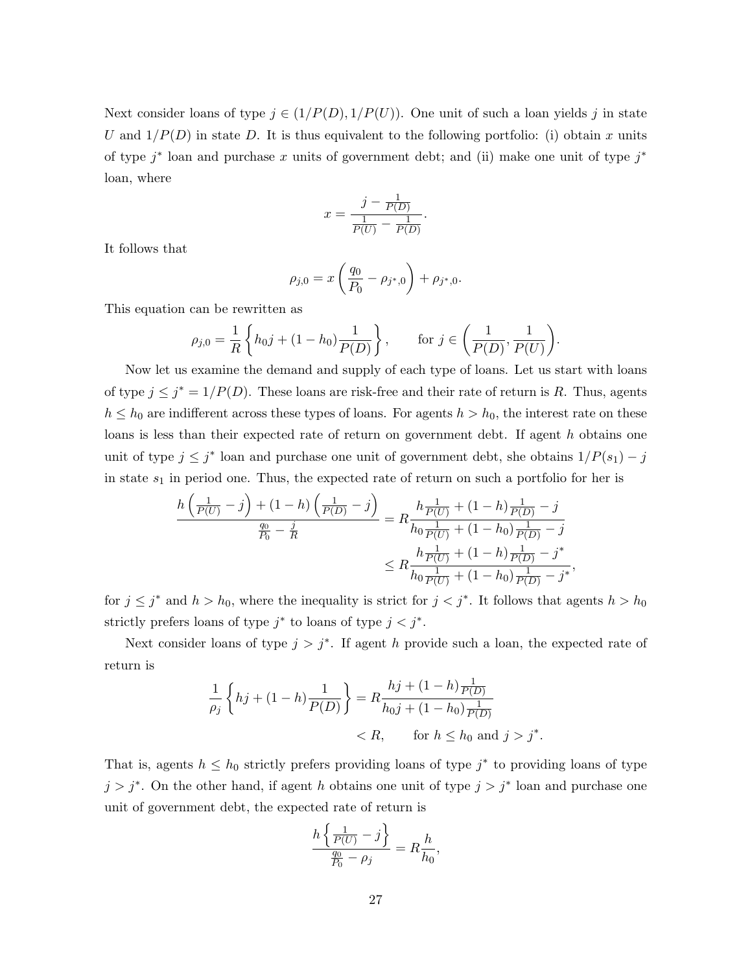Next consider loans of type  $j \in (1/P(D), 1/P(U))$ . One unit of such a loan yields j in state U and  $1/P(D)$  in state D. It is thus equivalent to the following portfolio: (i) obtain x units of type  $j^*$  loan and purchase x units of government debt; and (ii) make one unit of type  $j^*$ loan, where

$$
x = \frac{j - \frac{1}{P(D)}}{\frac{1}{P(U)} - \frac{1}{P(D)}}.
$$

It follows that

$$
\rho_{j,0} = x \left( \frac{q_0}{P_0} - \rho_{j^*,0} \right) + \rho_{j^*,0}.
$$

This equation can be rewritten as

$$
\rho_{j,0} = \frac{1}{R} \left\{ h_0 j + (1 - h_0) \frac{1}{P(D)} \right\}, \quad \text{for } j \in \left( \frac{1}{P(D)}, \frac{1}{P(U)} \right).
$$

Now let us examine the demand and supply of each type of loans. Let us start with loans of type  $j \leq j^* = 1/P(D)$ . These loans are risk-free and their rate of return is R. Thus, agents  $h \leq h_0$  are indifferent across these types of loans. For agents  $h > h_0$ , the interest rate on these loans is less than their expected rate of return on government debt. If agent h obtains one unit of type  $j \leq j^*$  loan and purchase one unit of government debt, she obtains  $1/P(s_1) - j$ in state  $s_1$  in period one. Thus, the expected rate of return on such a portfolio for her is

$$
\frac{h\left(\frac{1}{P(U)}-j\right)+(1-h)\left(\frac{1}{P(D)}-j\right)}{\frac{q_0}{P_0}-\frac{j}{R}} = R\frac{h\frac{1}{P(U)}+(1-h)\frac{1}{P(D)}-j}{h_0\frac{1}{P(U)}+(1-h_0)\frac{1}{P(D)}-j}
$$

$$
\leq R\frac{h\frac{1}{P(U)}+(1-h)\frac{1}{P(D)}-j^*}{h_0\frac{1}{P(U)}+(1-h_0)\frac{1}{P(D)}-j^*},
$$

for  $j \leq j^*$  and  $h > h_0$ , where the inequality is strict for  $j < j^*$ . It follows that agents  $h > h_0$ strictly prefers loans of type  $j^*$  to loans of type  $j < j^*$ .

Next consider loans of type  $j > j^*$ . If agent h provide such a loan, the expected rate of return is

$$
\frac{1}{\rho_j} \left\{ hj + (1-h)\frac{1}{P(D)} \right\} = R \frac{hj + (1-h)\frac{1}{P(D)}}{h_0j + (1-h_0)\frac{1}{P(D)}} \n< R, \quad \text{for } h \le h_0 \text{ and } j > j^*.
$$

That is, agents  $h \leq h_0$  strictly prefers providing loans of type  $j^*$  to providing loans of type  $j > j^*$ . On the other hand, if agent h obtains one unit of type  $j > j^*$  loan and purchase one unit of government debt, the expected rate of return is

$$
\frac{h\left\{\frac{1}{P(U)} - j\right\}}{\frac{q_0}{P_0} - \rho_j} = R \frac{h}{h_0}
$$

,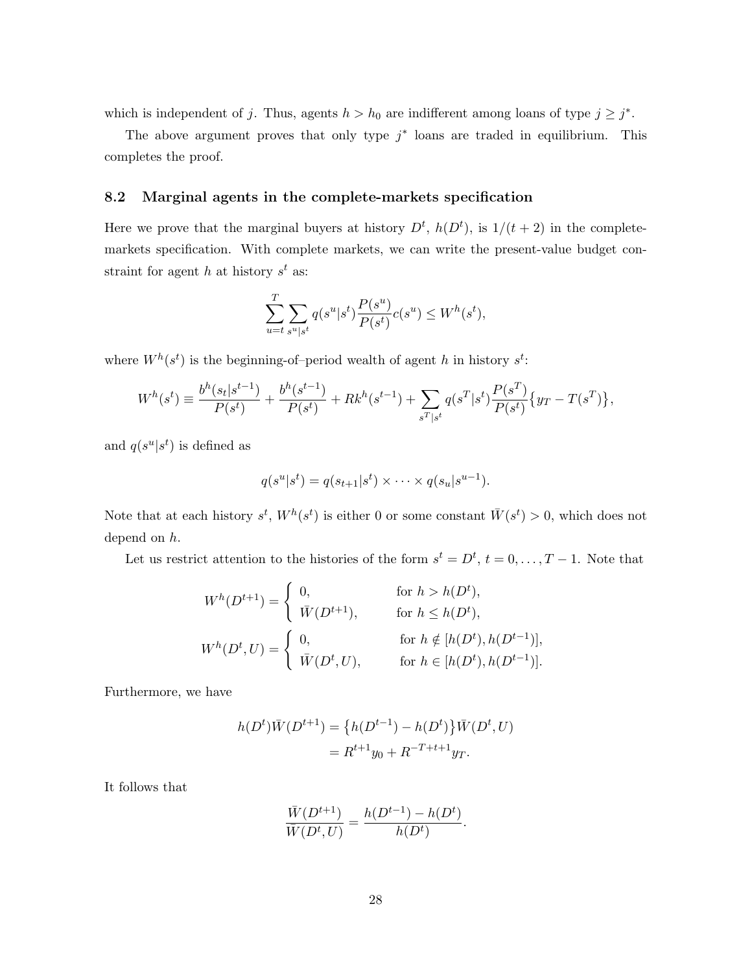which is independent of j. Thus, agents  $h > h_0$  are indifferent among loans of type  $j \geq j^*$ .

The above argument proves that only type  $j^*$  loans are traded in equilibrium. This completes the proof.

#### 8.2 Marginal agents in the complete-markets specification

Here we prove that the marginal buyers at history  $D^t$ ,  $h(D^t)$ , is  $1/(t+2)$  in the completemarkets specification. With complete markets, we can write the present-value budget constraint for agent h at history  $s^t$  as:

$$
\sum_{u=t}^{T} \sum_{s^u | s^t} q(s^u | s^t) \frac{P(s^u)}{P(s^t)} c(s^u) \le W^h(s^t),
$$

where  $W^h(s^t)$  is the beginning-of-period wealth of agent h in history  $s^t$ :

$$
W^{h}(s^{t}) \equiv \frac{b^{h}(s_{t}|s^{t-1})}{P(s^{t})} + \frac{b^{h}(s^{t-1})}{P(s^{t})} + Rk^{h}(s^{t-1}) + \sum_{s^{T}|s^{t}} q(s^{T}|s^{t}) \frac{P(s^{T})}{P(s^{t})} \{y_{T} - T(s^{T})\},\,
$$

and  $q(s^u|s^t)$  is defined as

$$
q(s^u|s^t) = q(s_{t+1}|s^t) \times \cdots \times q(s_u|s^{u-1}).
$$

Note that at each history  $s^t$ ,  $W^h(s^t)$  is either 0 or some constant  $\bar{W}(s^t) > 0$ , which does not depend on h.

Let us restrict attention to the histories of the form  $s^t = D^t$ ,  $t = 0, \ldots, T - 1$ . Note that

$$
W^{h}(D^{t+1}) = \begin{cases} 0, & \text{for } h > h(D^{t}), \\ \bar{W}(D^{t+1}), & \text{for } h \le h(D^{t}), \end{cases}
$$
  

$$
W^{h}(D^{t}, U) = \begin{cases} 0, & \text{for } h \notin [h(D^{t}), h(D^{t-1})], \\ \bar{W}(D^{t}, U), & \text{for } h \in [h(D^{t}), h(D^{t-1})]. \end{cases}
$$

Furthermore, we have

$$
h(Dt)\overline{W}(Dt+1) = \{h(Dt-1) - h(Dt)\}\overline{W}(Dt, U)
$$
  
=  $Rt+1y_0 + R-T+t+1y_T.$ 

It follows that

$$
\frac{\bar{W}(D^{t+1})}{\bar{W}(D^t, U)} = \frac{h(D^{t-1}) - h(D^t)}{h(D^t)}.
$$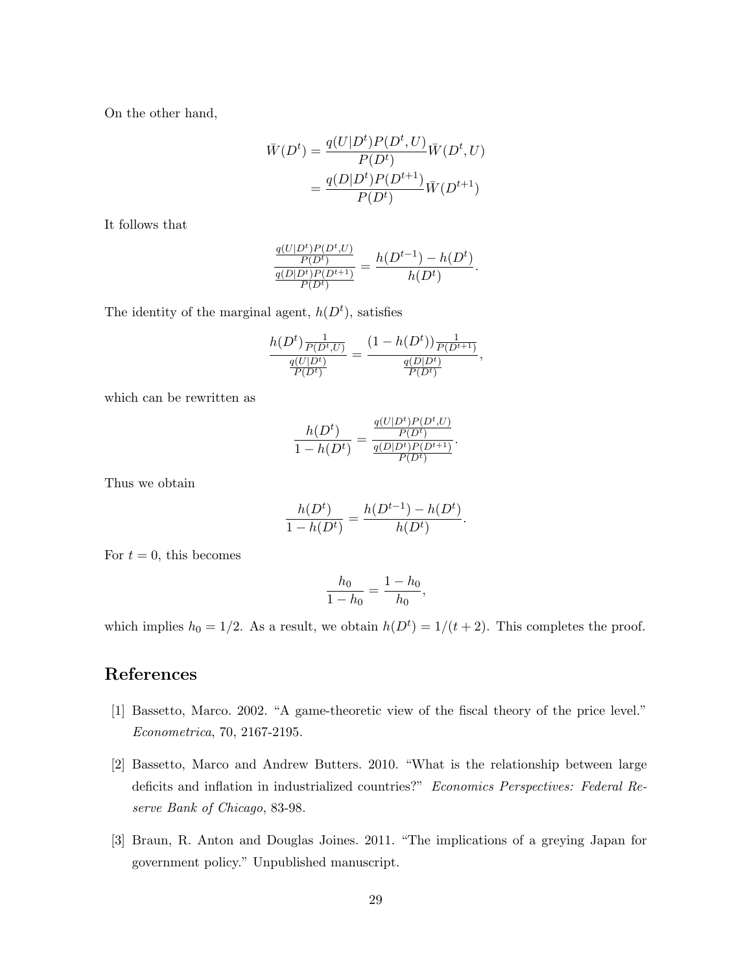On the other hand,

$$
\bar{W}(D^t) = \frac{q(U|D^t)P(D^t, U)}{P(D^t)} \bar{W}(D^t, U) \n= \frac{q(D|D^t)P(D^{t+1})}{P(D^t)} \bar{W}(D^{t+1})
$$

It follows that

$$
\frac{\frac{q(U|D^t)P(D^t,U)}{P(D^t)}}{\frac{q(D|D^t)P(D^{t+1})}{P(D^t)}} = \frac{h(D^{t-1}) - h(D^t)}{h(D^t)}.
$$

The identity of the marginal agent,  $h(D<sup>t</sup>)$ , satisfies

$$
\frac{h(D^t)\frac{1}{P(D^t,U)}}{\frac{q(U|D^t)}{P(D^t)}} = \frac{(1-h(D^t))\frac{1}{P(D^{t+1})}}{\frac{q(D|D^t)}{P(D^t)}},
$$

which can be rewritten as

$$
\frac{h(D^t)}{1 - h(D^t)} = \frac{\frac{q(U|D^t)P(D^t, U)}{P(D^t)}}{\frac{q(D|D^t)P(D^{t+1})}{P(D^t)}}.
$$

Thus we obtain

$$
\frac{h(D^t)}{1 - h(D^t)} = \frac{h(D^{t-1}) - h(D^t)}{h(D^t)}.
$$

For  $t = 0$ , this becomes

$$
\frac{h_0}{1-h_0} = \frac{1-h_0}{h_0},
$$

which implies  $h_0 = 1/2$ . As a result, we obtain  $h(D^t) = 1/(t+2)$ . This completes the proof.

### References

- [1] Bassetto, Marco. 2002. "A game-theoretic view of the fiscal theory of the price level." Econometrica, 70, 2167-2195.
- [2] Bassetto, Marco and Andrew Butters. 2010. "What is the relationship between large deficits and inflation in industrialized countries?" Economics Perspectives: Federal Reserve Bank of Chicago, 83-98.
- [3] Braun, R. Anton and Douglas Joines. 2011. "The implications of a greying Japan for government policy." Unpublished manuscript.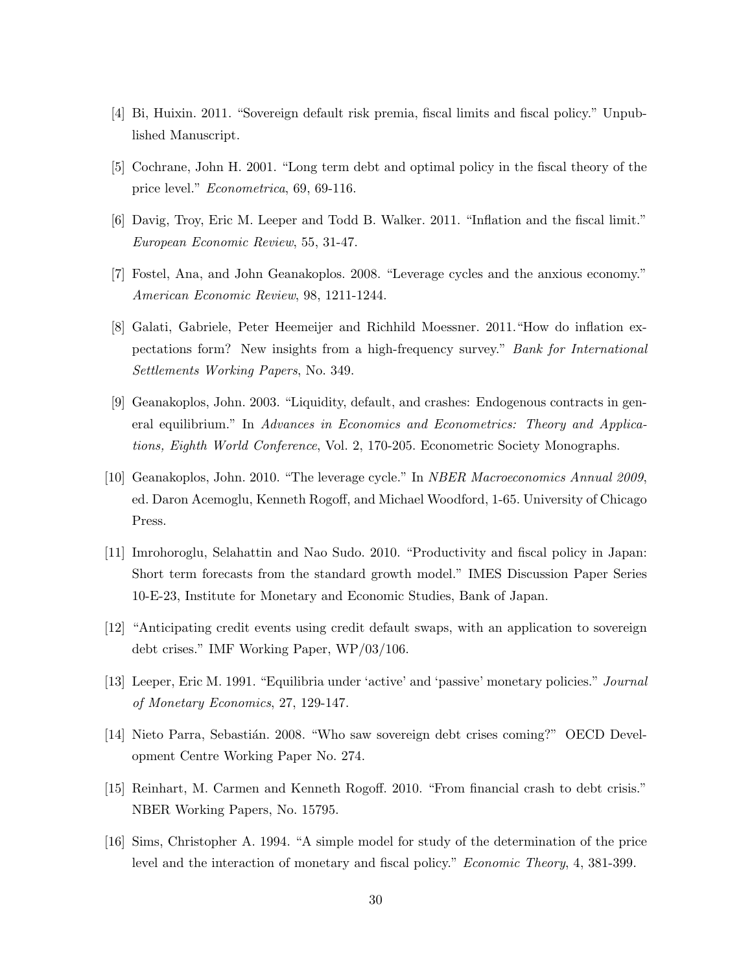- [4] Bi, Huixin. 2011. "Sovereign default risk premia, fiscal limits and fiscal policy." Unpublished Manuscript.
- [5] Cochrane, John H. 2001. "Long term debt and optimal policy in the fiscal theory of the price level." Econometrica, 69, 69-116.
- [6] Davig, Troy, Eric M. Leeper and Todd B. Walker. 2011. "Inflation and the fiscal limit." European Economic Review, 55, 31-47.
- [7] Fostel, Ana, and John Geanakoplos. 2008. "Leverage cycles and the anxious economy." American Economic Review, 98, 1211-1244.
- [8] Galati, Gabriele, Peter Heemeijer and Richhild Moessner. 2011."How do inflation expectations form? New insights from a high-frequency survey." Bank for International Settlements Working Papers, No. 349.
- [9] Geanakoplos, John. 2003. "Liquidity, default, and crashes: Endogenous contracts in general equilibrium." In Advances in Economics and Econometrics: Theory and Applications, Eighth World Conference, Vol. 2, 170-205. Econometric Society Monographs.
- [10] Geanakoplos, John. 2010. "The leverage cycle." In NBER Macroeconomics Annual 2009, ed. Daron Acemoglu, Kenneth Rogoff, and Michael Woodford, 1-65. University of Chicago Press.
- [11] Imrohoroglu, Selahattin and Nao Sudo. 2010. "Productivity and fiscal policy in Japan: Short term forecasts from the standard growth model." IMES Discussion Paper Series 10-E-23, Institute for Monetary and Economic Studies, Bank of Japan.
- [12] "Anticipating credit events using credit default swaps, with an application to sovereign debt crises." IMF Working Paper, WP/03/106.
- [13] Leeper, Eric M. 1991. "Equilibria under 'active' and 'passive' monetary policies." Journal of Monetary Economics, 27, 129-147.
- [14] Nieto Parra, Sebastián. 2008. "Who saw sovereign debt crises coming?" OECD Development Centre Working Paper No. 274.
- [15] Reinhart, M. Carmen and Kenneth Rogoff. 2010. "From financial crash to debt crisis." NBER Working Papers, No. 15795.
- [16] Sims, Christopher A. 1994. "A simple model for study of the determination of the price level and the interaction of monetary and fiscal policy." Economic Theory, 4, 381-399.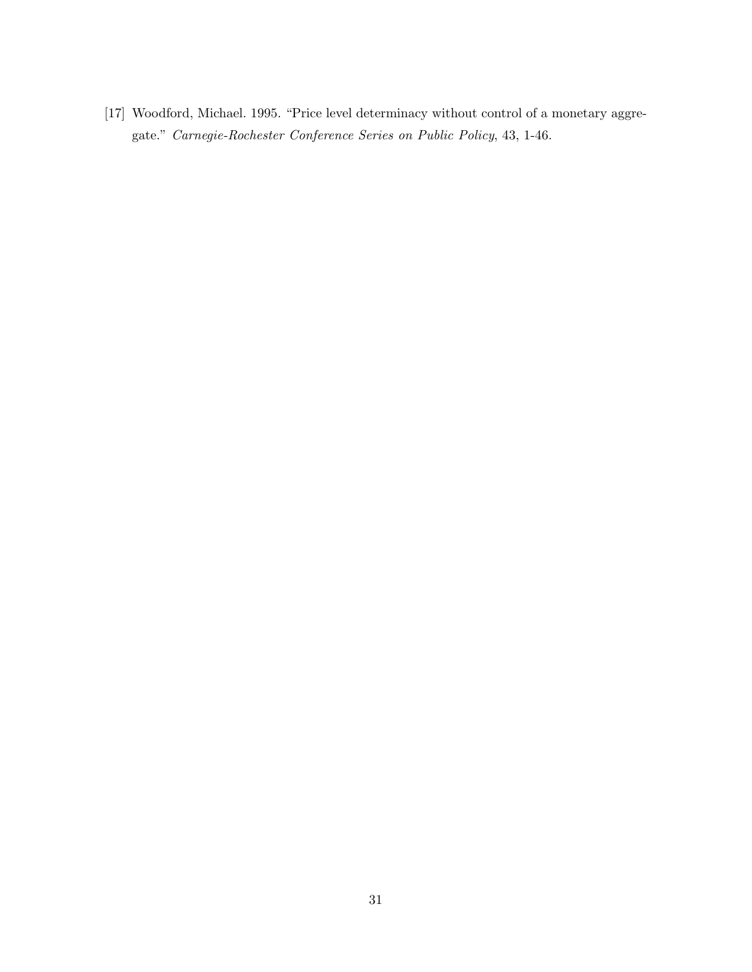[17] Woodford, Michael. 1995. "Price level determinacy without control of a monetary aggregate." Carnegie-Rochester Conference Series on Public Policy, 43, 1-46.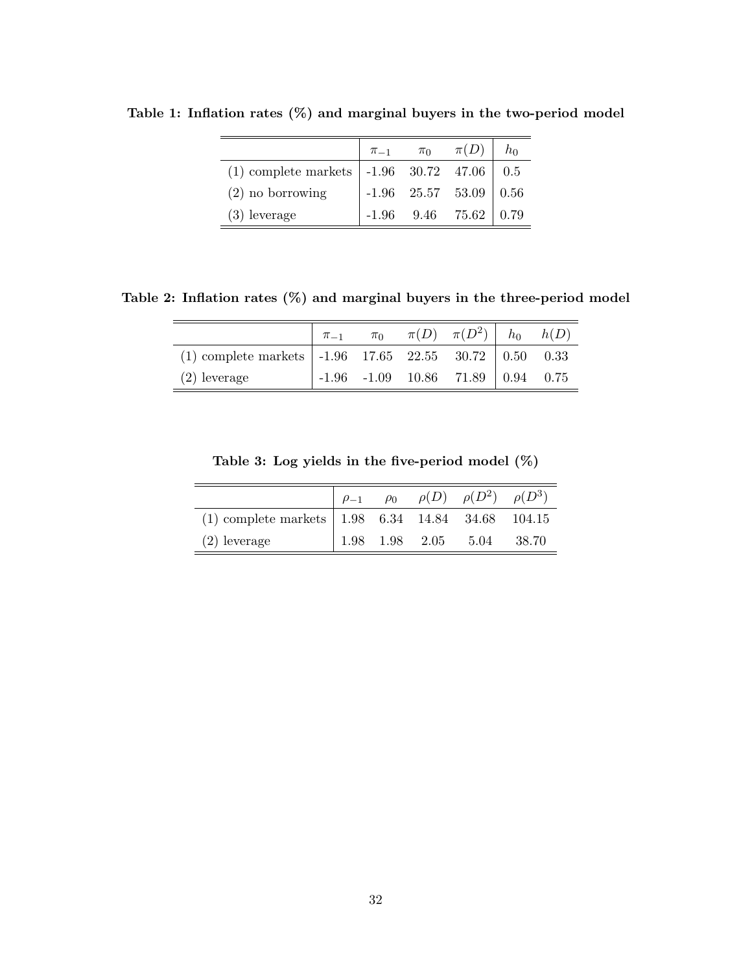|                                                                          | $\pi_{-1}$ $\pi_0$ | $\pi(D)$                 |  |
|--------------------------------------------------------------------------|--------------------|--------------------------|--|
| (1) complete markets $  -1.96 \quad 30.72 \quad 47.06 \quad   \quad 0.5$ |                    |                          |  |
| $(2)$ no borrowing                                                       |                    | $-1.96$ 25.57 53.09 0.56 |  |
| $(3)$ leverage                                                           |                    | $-1.96$ 9.46 75.62       |  |

Table 1: Inflation rates (%) and marginal buyers in the two-period model

Table 2: Inflation rates (%) and marginal buyers in the three-period model

|                                                                        |  | $\pi_0$ $\pi(D)$ $\pi(D^2)$ $h_0$ $h(D)$  |  |
|------------------------------------------------------------------------|--|-------------------------------------------|--|
| (1) complete markets $\vert$ -1.96 17.65 22.55 30.72 $\vert$ 0.50 0.33 |  |                                           |  |
| $(2)$ leverage                                                         |  | $-1.96$ $-1.09$ $10.86$ $71.89$ 0.94 0.75 |  |

|  |  |  |  |  | Table 3: Log yields in the five-period model $(\%)$ |  |  |  |
|--|--|--|--|--|-----------------------------------------------------|--|--|--|
|--|--|--|--|--|-----------------------------------------------------|--|--|--|

|                                                           |  | $ho_{-1}$ $ho_0$ $\rho(D)$ $\rho(D^2)$ $\rho(D^3)$ |         |
|-----------------------------------------------------------|--|----------------------------------------------------|---------|
| (1) complete markets $\vert$ 1.98 6.34 14.84 34.68 104.15 |  |                                                    |         |
| $(2)$ leverage                                            |  | $1.98$ $1.98$ $2.05$ $5.04$                        | - 38.70 |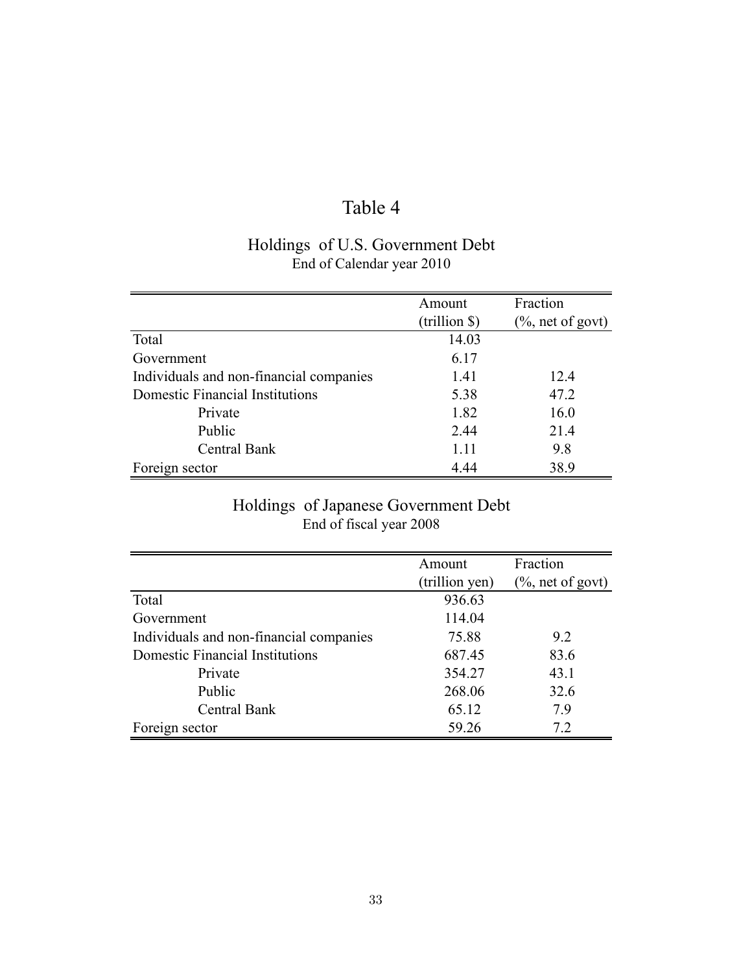# Table 4

## Holdings of U.S. Government Debt End of Calendar year 2010

|                                         | Amount        | Fraction             |
|-----------------------------------------|---------------|----------------------|
|                                         | (trillion \$) | $(\%$ , net of govt) |
| Total                                   | 14.03         |                      |
| Government                              | 6.17          |                      |
| Individuals and non-financial companies | 1.41          | 12.4                 |
| Domestic Financial Institutions         | 5.38          | 47.2                 |
| Private                                 | 1.82          | 16.0                 |
| Public                                  | 2.44          | 21.4                 |
| Central Bank                            | 1.11          | 9.8                  |
| Foreign sector                          | 4.44          | 38.9                 |

## Holdings of Japanese Government Debt End of fiscal year 2008

|                                         | Amount         | Fraction             |
|-----------------------------------------|----------------|----------------------|
|                                         | (trillion yen) | $(\%$ , net of govt) |
| Total                                   | 936.63         |                      |
| Government                              | 114.04         |                      |
| Individuals and non-financial companies | 75.88          | 9.2                  |
| <b>Domestic Financial Institutions</b>  | 687.45         | 83.6                 |
| Private                                 | 354.27         | 43.1                 |
| Public                                  | 268.06         | 32.6                 |
| Central Bank                            | 65.12          | 7.9                  |
| Foreign sector                          | 59.26          | 7.2                  |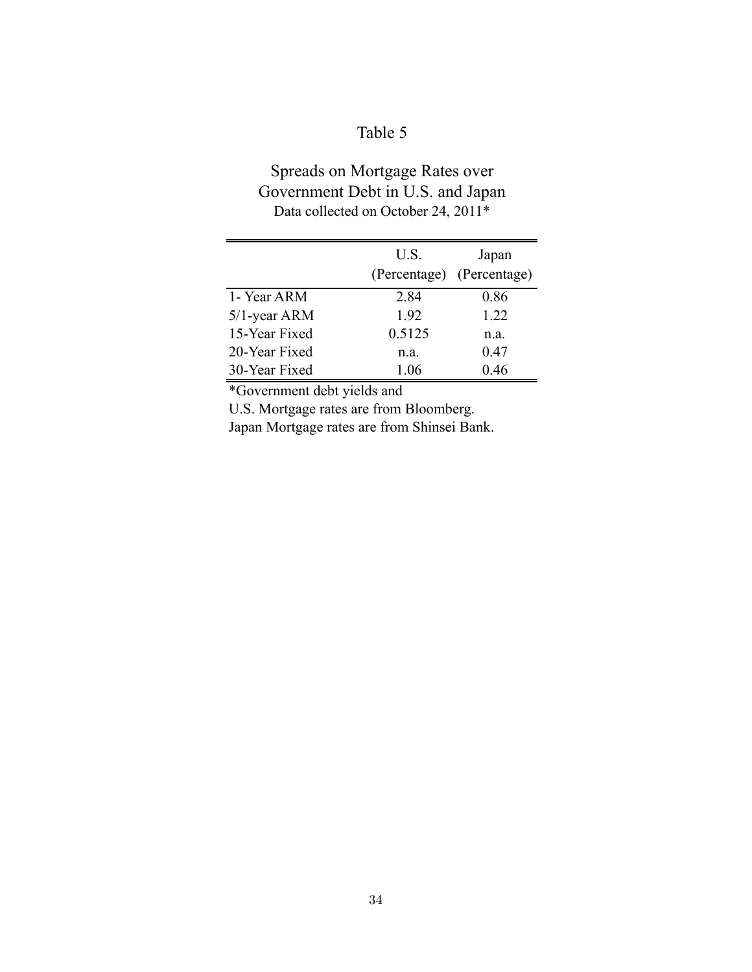# Table 5

## Spreads on Mortgage Rates over Government Debt in U.S. and Japan Data collected on October 24, 2011<sup>\*</sup>

|                 | U.S.   | Japan                     |
|-----------------|--------|---------------------------|
|                 |        | (Percentage) (Percentage) |
| 1- Year ARM     | 2.84   | 0.86                      |
| $5/1$ -year ARM | 1.92   | 1.22                      |
| 15-Year Fixed   | 0.5125 | n.a.                      |
| 20-Year Fixed   | n.a.   | 0.47                      |
| 30-Year Fixed   | 1.06   | 0.46                      |

\*Government debt yields and

U.S. Mortgage rates are from Bloomberg.

Japan Mortgage rates are from Shinsei Bank.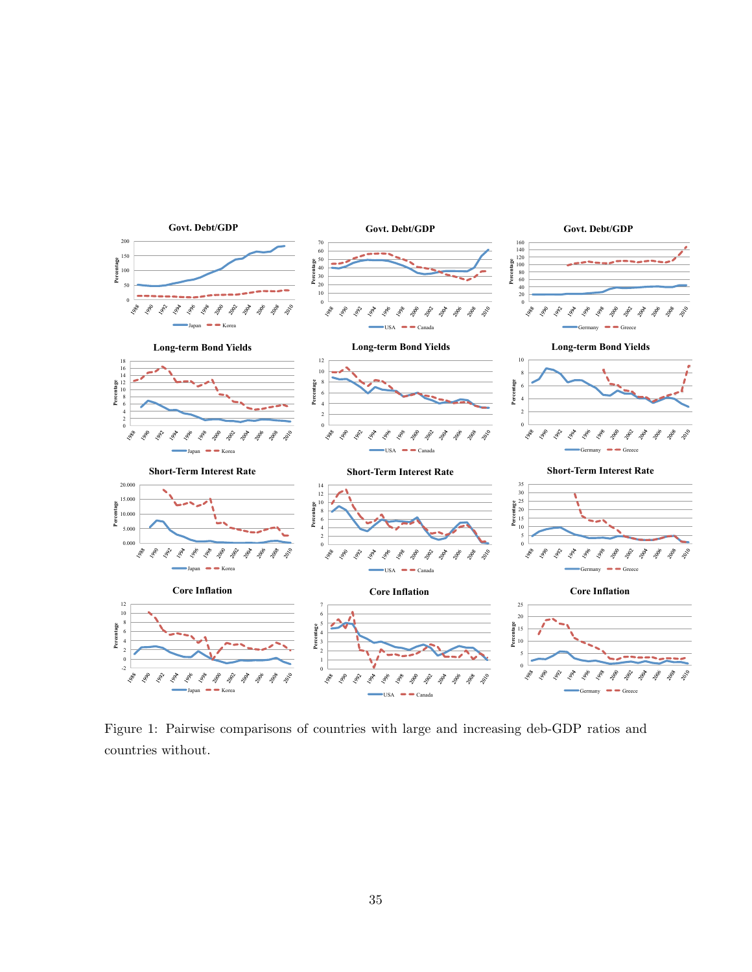

Figure 1: Pairwise comparisons of countries with large and increasing deb-GDP ratios and countries without.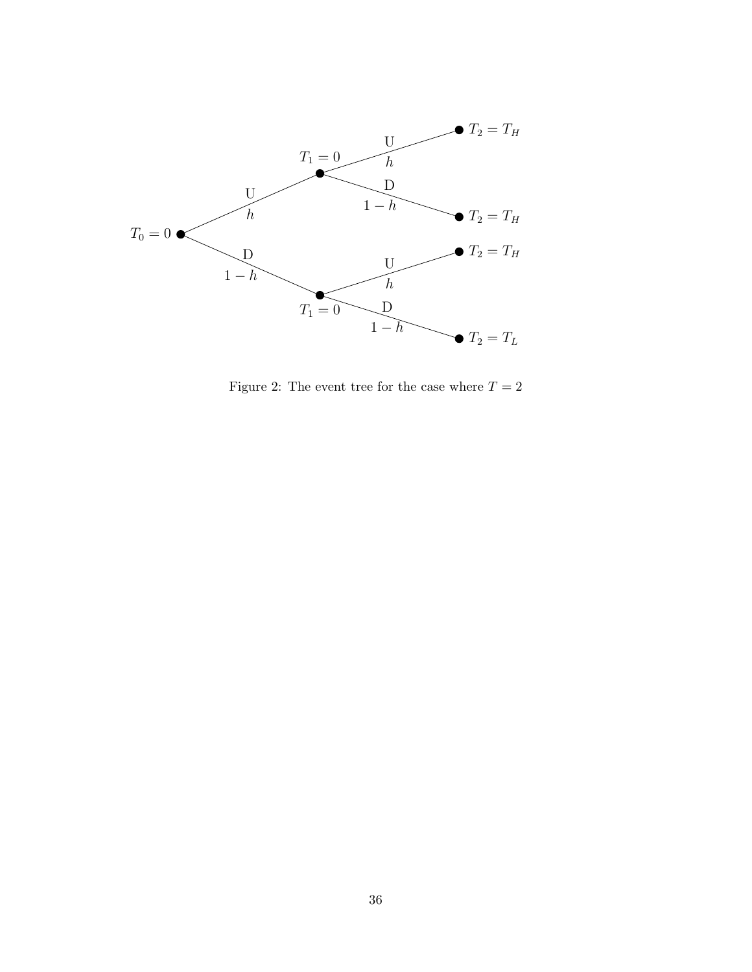

Figure 2: The event tree for the case where  $T=2$